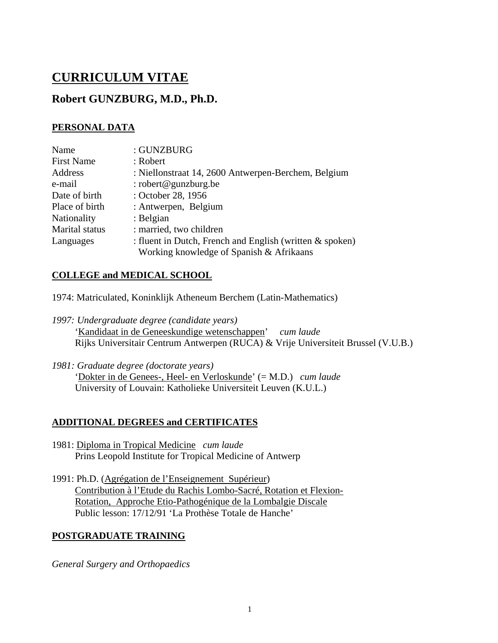# **CURRICULUM VITAE**

# **Robert GUNZBURG, M.D., Ph.D.**

# **PERSONAL DATA**

| Name              | : GUNZBURG                                                 |
|-------------------|------------------------------------------------------------|
| <b>First Name</b> | : Robert                                                   |
| Address           | : Niellonstraat 14, 2600 Antwerpen-Berchem, Belgium        |
| e-mail            | : robert@gunzburg.be                                       |
| Date of birth     | : October 28, 1956                                         |
| Place of birth    | : Antwerpen, Belgium                                       |
| Nationality       | : Belgian                                                  |
| Marital status    | : married, two children                                    |
| Languages         | : fluent in Dutch, French and English (written $&$ spoken) |
|                   | Working knowledge of Spanish & Afrikaans                   |

# **COLLEGE and MEDICAL SCHOOL**

- 1974: Matriculated, Koninklijk Atheneum Berchem (Latin-Mathematics)
- *1997: Undergraduate degree (candidate years)* 'Kandidaat in de Geneeskundige wetenschappen Rijks Universitair Centrum Antwerpen (RUCA) & Vrije Universiteit Brussel (V.U.B.) ' *cum laude*
- *1981: Graduate degree (doctorate years)* 'Dokter in de Genees-, Heel- en Verloskunde ' (= M.D.) *cum laude* University of Louvain: Katholieke Universiteit Leuven (K.U.L.)

# **ADDITIONAL DEGREES and CERTIFICATES**

- 1981: Diploma in Tropical Medicine *cum laude* Prins Leopold Institute for Tropical Medicine of Antwerp
- 1991: Ph.D. (Agrégation de l'Enseignement Supérieur) Contribution à l'Etude du Rachis Lombo-Sacré, Rotation et Flexion-Public lesson: 17/12/91 'La Prothèse Totale de Hanche' Rotation, Approche Etio-Pathogénique de la Lombalgie Discale

# **POSTGRADUATE TRAINING**

*General Surgery and Orthopaedics*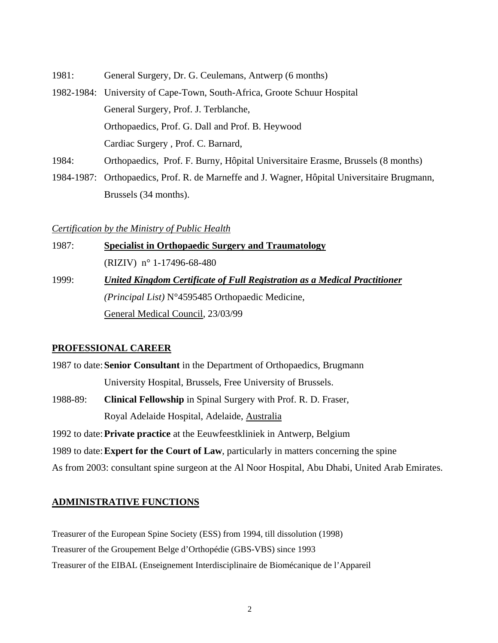- 1981: General Surgery, Dr. G. Ceulemans, Antwerp (6 months) 1982-1984: University of Cape-Town, South-Africa, Groote Schuur Hospital General Surgery, Prof. J. Terblanche, Orthopaedics, Prof. G. Dall and Prof. B. Heywood Cardiac Surgery , Prof. C. Barnard, 1984: Orthopaedics, Prof. F. Burny, Hôpital Universitaire Erasme, Brussels (8 months)
- 1984-1987: Orthopaedics, Prof. R. de Marneffe and J. Wagner, Hôpital Universitaire Brugmann, Brussels (34 months).

#### *Certification by the Ministry of Public Health*

1987: **Specialist in Orthopaedic Surgery and Traumatology** (RIZIV) n° 1-17496-68-480 1999: *(Principal List)* N°4595485 Orthopaedic Medicine, *United Kingdom Certificate of Full Registration as a Medical Practitioner* General Medical Council, 23/03/99

# **PROFESSIONAL CAREER**

1987 to date:**Senior Consultant** in the Department of Orthopaedics, Brugmann University Hospital, Brussels, Free University of Brussels.

1988-89: **Clinical Fellowship** in Spinal Surgery with Prof. R. D. Fraser, Royal Adelaide Hospital, Adelaide, Australia

1992 to date:**Private practice** at the Eeuwfeestkliniek in Antwerp, Belgium

1989 to date:**Expert for the Court of Law**, particularly in matters concerning the spine

As from 2003: consultant spine surgeon at the Al Noor Hospital, Abu Dhabi, United Arab Emirates.

# **ADMINISTRATIVE FUNCTIONS**

Treasurer of the European Spine Society (ESS) from 1994, till dissolution (1998) Treasurer of the Groupement Belge d'Orthopédie (GBS-VBS) since 1993 Treasurer of the EIBAL (Enseignement Interdisciplinaire de Biomécanique de l'Appareil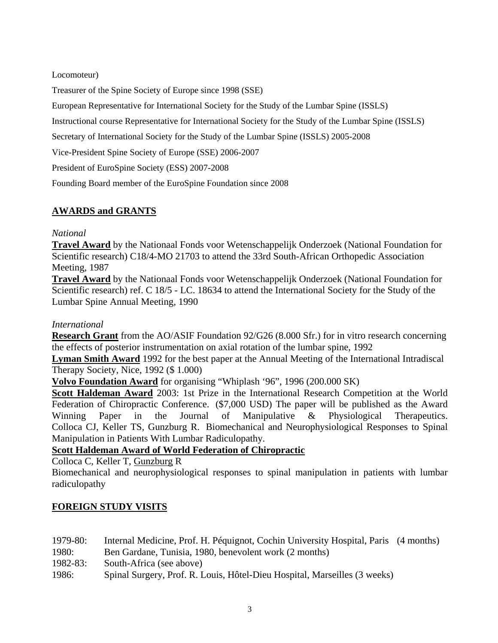Locomoteur)

Treasurer of the Spine Society of Europe since 1998 (SSE)

European Representative for International Society for the Study of the Lumbar Spine (ISSLS)

Instructional course Representative for International Society for the Study of the Lumbar Spine (ISSLS)

Secretary of International Society for the Study of the Lumbar Spine (ISSLS) 2005-2008

Vice-President Spine Society of Europe (SSE) 2006-2007

President of EuroSpine Society (ESS) 2007-2008

Founding Board member of the EuroSpine Foundation since 2008

# **AWARDS and GRANTS**

### *National*

**Travel Award** by the Nationaal Fonds voor Wetenschappelijk Onderzoek (National Foundation for Scientific research) C18/4-MO 21703 to attend the 33rd South-African Orthopedic Association Meeting, 1987

**Travel Award** by the Nationaal Fonds voor Wetenschappelijk Onderzoek (National Foundation for Scientific research) ref. C 18/5 - LC. 18634 to attend the International Society for the Study of the Lumbar Spine Annual Meeting, 1990

## *International*

**Research Grant** from the AO/ASIF Foundation 92/G26 (8.000 Sfr.) for in vitro research concerning the effects of posterior instrumentation on axial rotation of the lumbar spine, 1992

**Lyman Smith Award** 1992 for the best paper at the Annual Meeting of the International Intradiscal Therapy Society, Nice, 1992 (\$ 1.000)

**Volvo Foundation Award** for organising "Whiplash '96", 1996 (200.000 SK)

**Scott Haldeman Award** 2003: 1st Prize in the International Research Competition at the World Federation of Chiropractic Conference. (\$7,000 USD) The paper will be published as the Award Winning Paper in the Journal of Manipulative & Physiological Therapeutics. Colloca CJ, Keller TS, Gunzburg R. Biomechanical and Neurophysiological Responses to Spinal Manipulation in Patients With Lumbar Radiculopathy.

# **Scott Haldeman Award of World Federation of Chiropractic**

Colloca C, Keller T, Gunzburg R

Biomechanical and neurophysiological responses to spinal manipulation in patients with lumbar radiculopathy

# **FOREIGN STUDY VISITS**

- 1979-80: Internal Medicine, Prof. H. Péquignot, Cochin University Hospital, Paris (4 months)
- 1980: Ben Gardane, Tunisia, 1980, benevolent work (2 months)
- 1982-83: South-Africa (see above)
- 1986: Spinal Surgery, Prof. R. Louis, Hôtel-Dieu Hospital, Marseilles (3 weeks)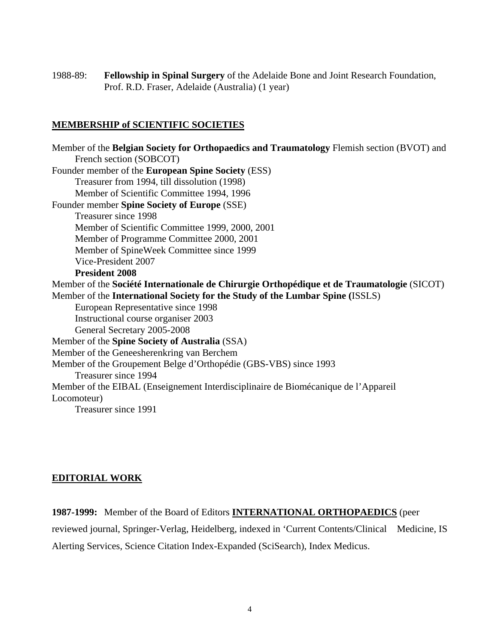1988-89: **Fellowship in Spinal Surgery** of the Adelaide Bone and Joint Research Foundation, Prof. R.D. Fraser, Adelaide (Australia) (1 year)

### **MEMBERSHIP of SCIENTIFIC SOCIETIES**

Member of the **Belgian Society for Orthopaedics and Traumatology** Flemish section (BVOT) and French section (SOBCOT) Founder member of the **European Spine Society** (ESS) Treasurer from 1994, till dissolution (1998) Member of Scientific Committee 1994, 1996 Founder member **Spine Society of Europe** (SSE) Treasurer since 1998 Member of Scientific Committee 1999, 2000, 2001 Member of Programme Committee 2000, 2001 Member of SpineWeek Committee since 1999 Vice-President 2007 **President 2008**  Member of the **Société Internationale de Chirurgie Orthopédique et de Traumatologie** (SICOT) Member of the **International Society for the Study of the Lumbar Spine (**ISSLS) European Representative since 1998 Instructional course organiser 2003 General Secretary 2005-2008 Member of the **Spine Society of Australia** (SSA) Member of the Geneesherenkring van Berchem Member of the Groupement Belge d'Orthopédie (GBS-VBS) since 1993 Treasurer since 1994 Member of the EIBAL (Enseignement Interdisciplinaire de Biomécanique de l'Appareil Locomoteur) Treasurer since 1991

# **EDITORIAL WORK**

**1987-1999:** Member of the Board of Editors **INTERNATIONAL ORTHOPAEDICS** (peer

reviewed journal, Springer-Verlag, Heidelberg, indexed in 'Current Contents/Clinical Medicine, IS Alerting Services, Science Citation Index-Expanded (SciSearch), Index Medicus.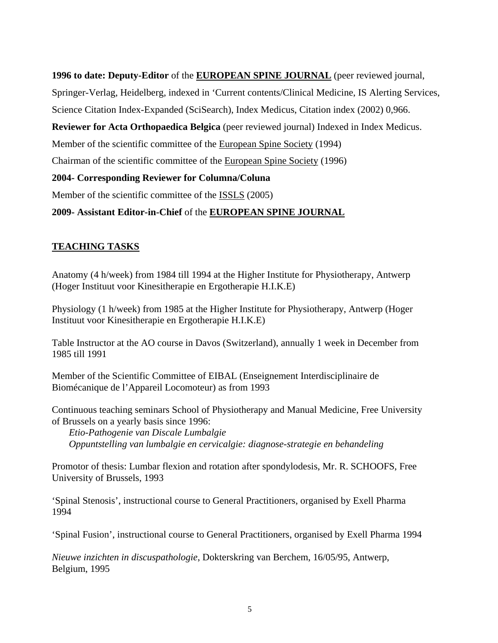# **1996 to date: Deputy-Editor** of the **EUROPEAN SPINE JOURNAL** (peer reviewed journal,

Springer-Verlag, Heidelberg, indexed in 'Current contents/Clinical Medicine, IS Alerting Services,

Science Citation Index-Expanded (SciSearch), Index Medicus, Citation index (2002) 0,966.

**Reviewer for Acta Orthopaedica Belgica** (peer reviewed journal) Indexed in Index Medicus.

Member of the scientific committee of the European Spine Society (1994)

Chairman of the scientific committee of the European Spine Society (1996)

# **2004- Corresponding Reviewer for Columna/Coluna**

Member of the scientific committee of the **ISSLS** (2005)

# **2009- Assistant Editor-in-Chief** of the **EUROPEAN SPINE JOURNAL**

# **TEACHING TASKS**

Anatomy (4 h/week) from 1984 till 1994 at the Higher Institute for Physiotherapy, Antwerp (Hoger Instituut voor Kinesitherapie en Ergotherapie H.I.K.E)

Physiology (1 h/week) from 1985 at the Higher Institute for Physiotherapy, Antwerp (Hoger Instituut voor Kinesitherapie en Ergotherapie H.I.K.E)

Table Instructor at the AO course in Davos (Switzerland), annually 1 week in December from 1985 till 1991

Member of the Scientific Committee of EIBAL (Enseignement Interdisciplinaire de Biomécanique de l'Appareil Locomoteur) as from 1993

Continuous teaching seminars School of Physiotherapy and Manual Medicine, Free University of Brussels on a yearly basis since 1996:

 *Etio-Pathogenie van Discale Lumbalgie Oppuntstelling van lumbalgie en cervicalgie: diagnose-strategie en behandeling*

Promotor of thesis: Lumbar flexion and rotation after spondylodesis, Mr. R. SCHOOFS, Free University of Brussels, 1993

'Spinal Stenosis', instructional course to General Practitioners, organised by Exell Pharma 1994

'Spinal Fusion', instructional course to General Practitioners, organised by Exell Pharma 1994

*Nieuwe inzichten in discuspathologie*, Dokterskring van Berchem, 16/05/95, Antwerp, Belgium, 1995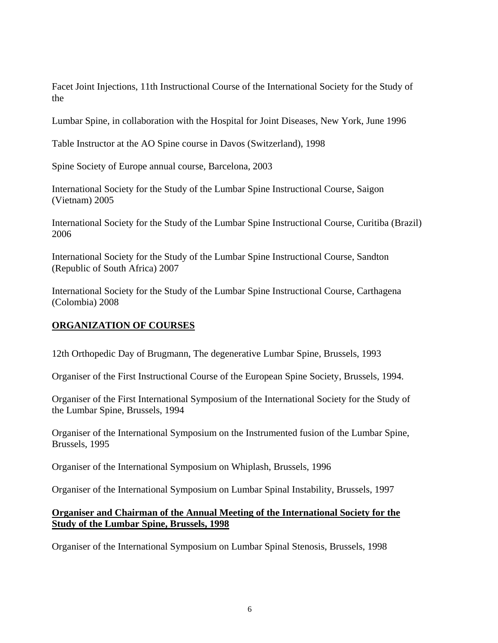Facet Joint Injections, 11th Instructional Course of the International Society for the Study of the

Lumbar Spine, in collaboration with the Hospital for Joint Diseases, New York, June 1996

Table Instructor at the AO Spine course in Davos (Switzerland), 1998

Spine Society of Europe annual course, Barcelona, 2003

International Society for the Study of the Lumbar Spine Instructional Course, Saigon (Vietnam) 2005

International Society for the Study of the Lumbar Spine Instructional Course, Curitiba (Brazil) 2006

International Society for the Study of the Lumbar Spine Instructional Course, Sandton (Republic of South Africa) 2007

International Society for the Study of the Lumbar Spine Instructional Course, Carthagena (Colombia) 2008

# **ORGANIZATION OF COURSES**

12th Orthopedic Day of Brugmann, The degenerative Lumbar Spine, Brussels, 1993

Organiser of the First Instructional Course of the European Spine Society, Brussels, 1994.

Organiser of the First International Symposium of the International Society for the Study of the Lumbar Spine, Brussels, 1994

Organiser of the International Symposium on the Instrumented fusion of the Lumbar Spine, Brussels, 1995

Organiser of the International Symposium on Whiplash, Brussels, 1996

Organiser of the International Symposium on Lumbar Spinal Instability, Brussels, 1997

### **Organiser and Chairman of the Annual Meeting of the International Society for the Study of the Lumbar Spine, Brussels, 1998**

Organiser of the International Symposium on Lumbar Spinal Stenosis, Brussels, 1998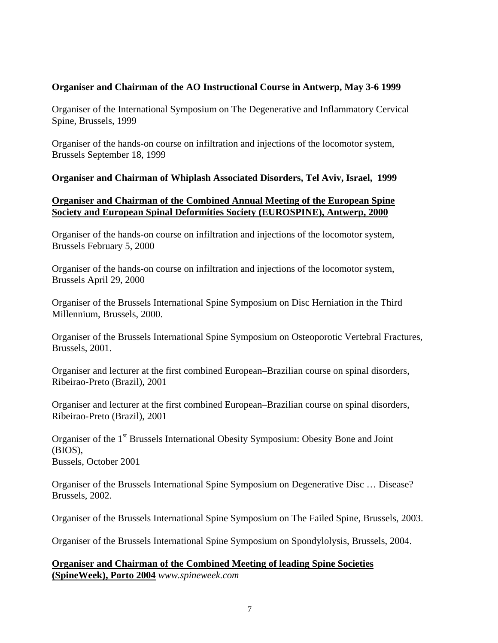### **Organiser and Chairman of the AO Instructional Course in Antwerp, May 3-6 1999**

Organiser of the International Symposium on The Degenerative and Inflammatory Cervical Spine, Brussels, 1999

Organiser of the hands-on course on infiltration and injections of the locomotor system, Brussels September 18, 1999

#### **Organiser and Chairman of Whiplash Associated Disorders, Tel Aviv, Israel, 1999**

#### **Organiser and Chairman of the Combined Annual Meeting of the European Spine Society and European Spinal Deformities Society (EUROSPINE), Antwerp, 2000**

Organiser of the hands-on course on infiltration and injections of the locomotor system, Brussels February 5, 2000

Organiser of the hands-on course on infiltration and injections of the locomotor system, Brussels April 29, 2000

Organiser of the Brussels International Spine Symposium on Disc Herniation in the Third Millennium, Brussels, 2000.

Organiser of the Brussels International Spine Symposium on Osteoporotic Vertebral Fractures, Brussels, 2001.

Organiser and lecturer at the first combined European–Brazilian course on spinal disorders, Ribeirao-Preto (Brazil), 2001

Organiser and lecturer at the first combined European–Brazilian course on spinal disorders, Ribeirao-Preto (Brazil), 2001

Organiser of the 1<sup>st</sup> Brussels International Obesity Symposium: Obesity Bone and Joint (BIOS), Bussels, October 2001

Organiser of the Brussels International Spine Symposium on Degenerative Disc … Disease? Brussels, 2002.

Organiser of the Brussels International Spine Symposium on The Failed Spine, Brussels, 2003.

Organiser of the Brussels International Spine Symposium on Spondylolysis, Brussels, 2004.

**Organiser and Chairman of the Combined Meeting of leading Spine Societies (SpineWeek), Porto 2004** *www.spineweek.com*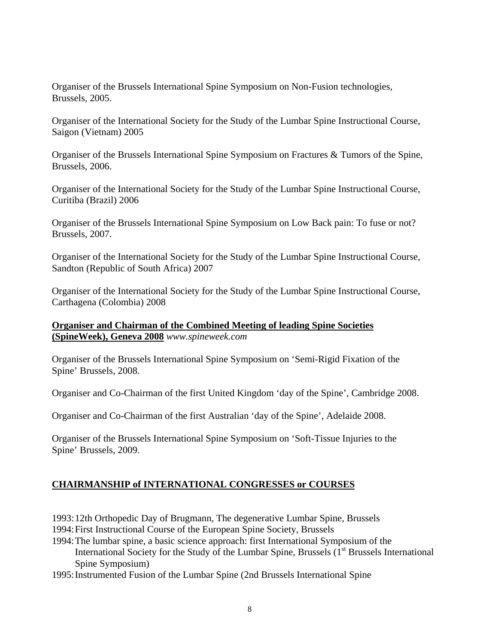Organiser of the Brussels International Spine Symposium on Non-Fusion technologies, Brussels, 2005.

Organiser of the International Society for the Study of the Lumbar Spine Instructional Course, Saigon (Vietnam) 2005

Organiser of the Brussels International Spine Symposium on Fractures & Tumors of the Spine, Brussels, 2006.

Organiser of the International Society for the Study of the Lumbar Spine Instructional Course, Curitiba (Brazil) 2006

Organiser of the Brussels International Spine Symposium on Low Back pain: To fuse or not? Brussels, 2007.

Organiser of the International Society for the Study of the Lumbar Spine Instructional Course, Sandton (Republic of South Africa) 2007

Organiser of the International Society for the Study of the Lumbar Spine Instructional Course, Carthagena (Colombia) 2008

**Organiser and Chairman of the Combined Meeting of leading Spine Societies (SpineWeek), Geneva 2008** *www.spineweek.com*

Organiser of the Brussels International Spine Symposium on 'Semi-Rigid Fixation of the Spine' Brussels, 2008.

Organiser and Co-Chairman of the first United Kingdom 'day of the Spine', Cambridge 2008.

Organiser and Co-Chairman of the first Australian 'day of the Spine', Adelaide 2008.

Organiser of the Brussels International Spine Symposium on 'Soft-Tissue Injuries to the Spine' Brussels, 2009.

# **CHAIRMANSHIP of INTERNATIONAL CONGRESSES or COURSES**

1993:12th Orthopedic Day of Brugmann, The degenerative Lumbar Spine, Brussels

1994:First Instructional Course of the European Spine Society, Brussels

- 1994:The lumbar spine, a basic science approach: first International Symposium of the International Society for the Study of the Lumbar Spine, Brussels  $(1<sup>st</sup> Brussels International)$ Spine Symposium)
- 1995:Instrumented Fusion of the Lumbar Spine (2nd Brussels International Spine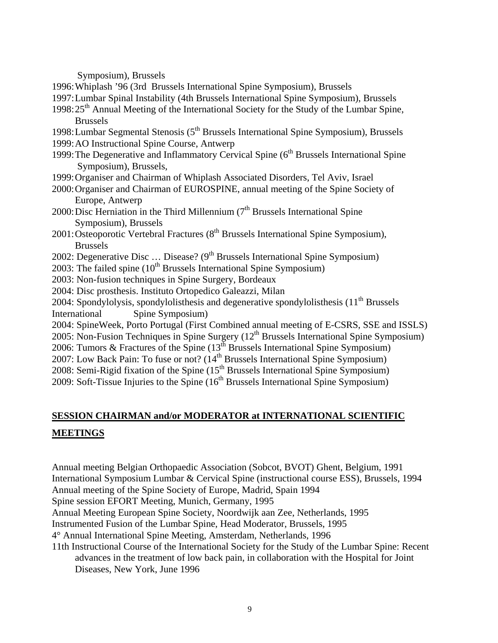Symposium), Brussels

- 1996:Whiplash '96 (3rd Brussels International Spine Symposium), Brussels
- 1997:Lumbar Spinal Instability (4th Brussels International Spine Symposium), Brussels
- 1998:25<sup>th</sup> Annual Meeting of the International Society for the Study of the Lumbar Spine, Brussels
- 1998: Lumbar Segmental Stenosis (5<sup>th</sup> Brussels International Spine Symposium), Brussels 1999:AO Instructional Spine Course, Antwerp
- 1999: The Degenerative and Inflammatory Cervical Spine  $(6<sup>th</sup>$  Brussels International Spine Symposium), Brussels,
- 1999:Organiser and Chairman of Whiplash Associated Disorders, Tel Aviv, Israel
- 2000:Organiser and Chairman of EUROSPINE, annual meeting of the Spine Society of Europe, Antwerp
- 2000: Disc Herniation in the Third Millennium ( $7<sup>th</sup>$  Brussels International Spine Symposium), Brussels
- $2001:O$ steoporotic Vertebral Fractures ( $8<sup>th</sup>$  Brussels International Spine Symposium), Brussels
- 2002: Degenerative Disc ... Disease?  $(9<sup>th</sup>$  Brussels International Spine Symposium)
- 2003: The failed spine  $(10^{th}$  Brussels International Spine Symposium)
- 2003: Non-fusion techniques in Spine Surgery, Bordeaux
- 2004: Disc prosthesis. Instituto Ortopedico Galeazzi, Milan
- 2004: Spondylolysis, spondylolisthesis and degenerative spondylolisthesis  $(11<sup>th</sup> Brussels)$ International Spine Symposium)
- 2004: SpineWeek, Porto Portugal (First Combined annual meeting of E-CSRS, SSE and ISSLS)
- 2005: Non-Fusion Techniques in Spine Surgery  $(12<sup>th</sup>$  Brussels International Spine Symposium)
- 2006: Tumors & Fractures of the Spine  $(13^{th}$  Brussels International Spine Symposium)
- 2007: Low Back Pain: To fuse or not?  $(14<sup>th</sup>$  Brussels International Spine Symposium)
- 2008: Semi-Rigid fixation of the Spine  $(15<sup>th</sup>$  Brussels International Spine Symposium)
- 2009: Soft-Tissue Injuries to the Spine  $(16<sup>th</sup>$  Brussels International Spine Symposium)

# **SESSION CHAIRMAN and/or MODERATOR at INTERNATIONAL SCIENTIFIC**

#### **MEETINGS**

Annual meeting Belgian Orthopaedic Association (Sobcot, BVOT) Ghent, Belgium, 1991 International Symposium Lumbar & Cervical Spine (instructional course ESS), Brussels, 1994 Annual meeting of the Spine Society of Europe, Madrid, Spain 1994 Spine session EFORT Meeting, Munich, Germany, 1995 Annual Meeting European Spine Society, Noordwijk aan Zee, Netherlands, 1995 Instrumented Fusion of the Lumbar Spine, Head Moderator, Brussels, 1995 4° Annual International Spine Meeting, Amsterdam, Netherlands, 1996 11th Instructional Course of the International Society for the Study of the Lumbar Spine: Recent

advances in the treatment of low back pain, in collaboration with the Hospital for Joint Diseases, New York, June 1996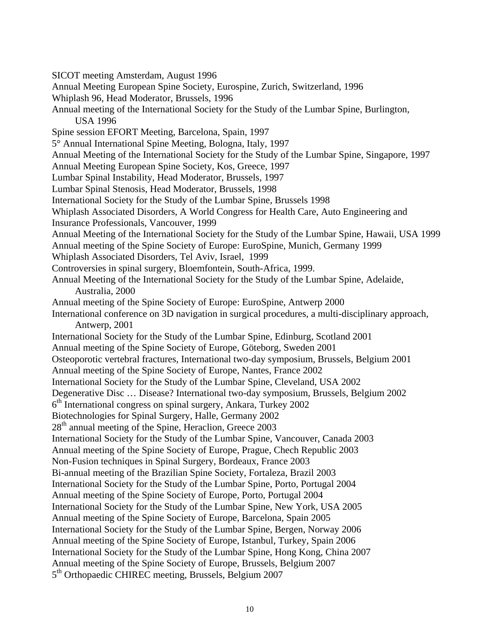SICOT meeting Amsterdam, August 1996 Annual Meeting European Spine Society, Eurospine, Zurich, Switzerland, 1996 Whiplash 96, Head Moderator, Brussels, 1996 Annual meeting of the International Society for the Study of the Lumbar Spine, Burlington, USA 1996 Spine session EFORT Meeting, Barcelona, Spain, 1997 5° Annual International Spine Meeting, Bologna, Italy, 1997 Annual Meeting of the International Society for the Study of the Lumbar Spine, Singapore, 1997 Annual Meeting European Spine Society, Kos, Greece, 1997 Lumbar Spinal Instability, Head Moderator, Brussels, 1997 Lumbar Spinal Stenosis, Head Moderator, Brussels, 1998 International Society for the Study of the Lumbar Spine, Brussels 1998 Whiplash Associated Disorders, A World Congress for Health Care, Auto Engineering and Insurance Professionals, Vancouver, 1999 Annual Meeting of the International Society for the Study of the Lumbar Spine, Hawaii, USA 1999 Annual meeting of the Spine Society of Europe: EuroSpine, Munich, Germany 1999 Whiplash Associated Disorders, Tel Aviv, Israel, 1999 Controversies in spinal surgery, Bloemfontein, South-Africa, 1999. Annual Meeting of the International Society for the Study of the Lumbar Spine, Adelaide, Australia, 2000 Annual meeting of the Spine Society of Europe: EuroSpine, Antwerp 2000 International conference on 3D navigation in surgical procedures, a multi-disciplinary approach, Antwerp, 2001 International Society for the Study of the Lumbar Spine, Edinburg, Scotland 2001 Annual meeting of the Spine Society of Europe, Göteborg, Sweden 2001 Osteoporotic vertebral fractures, International two-day symposium, Brussels, Belgium 2001 Annual meeting of the Spine Society of Europe, Nantes, France 2002 International Society for the Study of the Lumbar Spine, Cleveland, USA 2002 Degenerative Disc … Disease? International two-day symposium, Brussels, Belgium 2002  $6<sup>th</sup>$  International congress on spinal surgery, Ankara, Turkey 2002 Biotechnologies for Spinal Surgery, Halle, Germany 2002  $28<sup>th</sup>$  annual meeting of the Spine, Heraclion, Greece 2003 International Society for the Study of the Lumbar Spine, Vancouver, Canada 2003 Annual meeting of the Spine Society of Europe, Prague, Chech Republic 2003 Non-Fusion techniques in Spinal Surgery, Bordeaux, France 2003 Bi-annual meeting of the Brazilian Spine Society, Fortaleza, Brazil 2003 International Society for the Study of the Lumbar Spine, Porto, Portugal 2004 Annual meeting of the Spine Society of Europe, Porto, Portugal 2004 International Society for the Study of the Lumbar Spine, New York, USA 2005 Annual meeting of the Spine Society of Europe, Barcelona, Spain 2005 International Society for the Study of the Lumbar Spine, Bergen, Norway 2006 Annual meeting of the Spine Society of Europe, Istanbul, Turkey, Spain 2006 International Society for the Study of the Lumbar Spine, Hong Kong, China 2007 Annual meeting of the Spine Society of Europe, Brussels, Belgium 2007 5<sup>th</sup> Orthopaedic CHIREC meeting, Brussels, Belgium 2007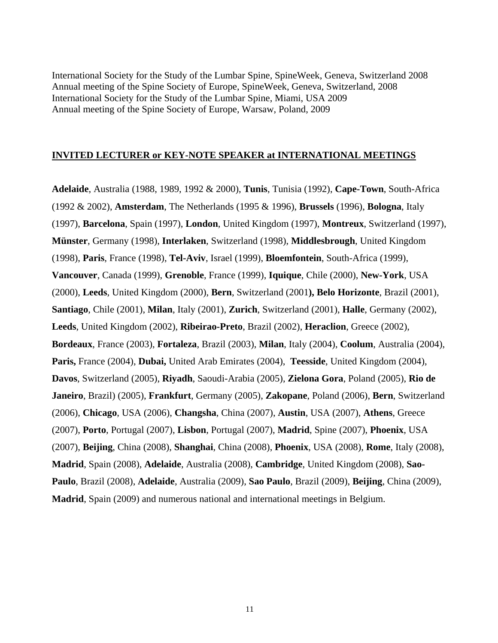International Society for the Study of the Lumbar Spine, SpineWeek, Geneva, Switzerland 2008 Annual meeting of the Spine Society of Europe, SpineWeek, Geneva, Switzerland, 2008 International Society for the Study of the Lumbar Spine, Miami, USA 2009 Annual meeting of the Spine Society of Europe, Warsaw, Poland, 2009

#### **INVITED LECTURER or KEY-NOTE SPEAKER at INTERNATIONAL MEETINGS**

**Adelaide**, Australia (1988, 1989, 1992 & 2000), **Tunis**, Tunisia (1992), **Cape-Town**, South-Africa (1992 & 2002), **Amsterdam**, The Netherlands (1995 & 1996), **Brussels** (1996), **Bologna**, Italy (1997), **Barcelona**, Spain (1997), **London**, United Kingdom (1997), **Montreux**, Switzerland (1997), **Münster**, Germany (1998), **Interlaken**, Switzerland (1998), **Middlesbrough**, United Kingdom (1998), **Paris**, France (1998), **Tel-Aviv**, Israel (1999), **Bloemfontein**, South-Africa (1999), **Vancouver**, Canada (1999), **Grenoble**, France (1999), **Iquique**, Chile (2000), **New-York**, USA (2000), **Leeds**, United Kingdom (2000), **Bern**, Switzerland (2001**), Belo Horizonte**, Brazil (2001), **Santiago**, Chile (2001), **Milan**, Italy (2001), **Zurich**, Switzerland (2001), **Halle**, Germany (2002), **Leeds**, United Kingdom (2002), **Ribeirao-Preto**, Brazil (2002), **Heraclion**, Greece (2002), **Bordeaux**, France (2003), **Fortaleza**, Brazil (2003), **Milan**, Italy (2004), **Coolum**, Australia (2004), **Paris,** France (2004), **Dubai,** United Arab Emirates (2004), **Teesside**, United Kingdom (2004), **Davos**, Switzerland (2005), **Riyadh**, Saoudi-Arabia (2005), **Zielona Gora**, Poland (2005), **Rio de Janeiro**, Brazil) (2005), **Frankfurt**, Germany (2005), **Zakopane**, Poland (2006), **Bern**, Switzerland (2006), **Chicago**, USA (2006), **Changsha**, China (2007), **Austin**, USA (2007), **Athens**, Greece (2007), **Porto**, Portugal (2007), **Lisbon**, Portugal (2007), **Madrid**, Spine (2007), **Phoenix**, USA (2007), **Beijing**, China (2008), **Shanghai**, China (2008), **Phoenix**, USA (2008), **Rome**, Italy (2008), **Madrid**, Spain (2008), **Adelaide**, Australia (2008), **Cambridge**, United Kingdom (2008), **Sao-Paulo**, Brazil (2008), **Adelaide**, Australia (2009), **Sao Paulo**, Brazil (2009), **Beijing**, China (2009), **Madrid**, Spain (2009) and numerous national and international meetings in Belgium.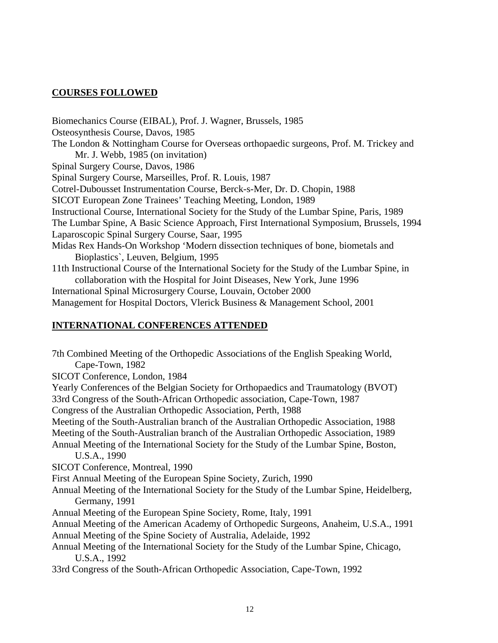## **COURSES FOLLOWED**

Biomechanics Course (EIBAL), Prof. J. Wagner, Brussels, 1985 Osteosynthesis Course, Davos, 1985 The London & Nottingham Course for Overseas orthopaedic surgeons, Prof. M. Trickey and Mr. J. Webb, 1985 (on invitation) Spinal Surgery Course, Davos, 1986 Spinal Surgery Course, Marseilles, Prof. R. Louis, 1987 Cotrel-Dubousset Instrumentation Course, Berck-s-Mer, Dr. D. Chopin, 1988 SICOT European Zone Trainees' Teaching Meeting, London, 1989 Instructional Course, International Society for the Study of the Lumbar Spine, Paris, 1989 The Lumbar Spine, A Basic Science Approach, First International Symposium, Brussels, 1994 Laparoscopic Spinal Surgery Course, Saar, 1995 Midas Rex Hands-On Workshop 'Modern dissection techniques of bone, biometals and Bioplastics`, Leuven, Belgium, 1995 11th Instructional Course of the International Society for the Study of the Lumbar Spine, in collaboration with the Hospital for Joint Diseases, New York, June 1996 International Spinal Microsurgery Course, Louvain, October 2000 Management for Hospital Doctors, Vlerick Business & Management School, 2001

#### **INTERNATIONAL CONFERENCES ATTENDED**

7th Combined Meeting of the Orthopedic Associations of the English Speaking World, Cape-Town, 1982 SICOT Conference, London, 1984 Yearly Conferences of the Belgian Society for Orthopaedics and Traumatology (BVOT) 33rd Congress of the South-African Orthopedic association, Cape-Town, 1987 Congress of the Australian Orthopedic Association, Perth, 1988 Meeting of the South-Australian branch of the Australian Orthopedic Association, 1988 Meeting of the South-Australian branch of the Australian Orthopedic Association, 1989 Annual Meeting of the International Society for the Study of the Lumbar Spine, Boston, U.S.A., 1990 SICOT Conference, Montreal, 1990 First Annual Meeting of the European Spine Society, Zurich, 1990 Annual Meeting of the International Society for the Study of the Lumbar Spine, Heidelberg, Germany, 1991 Annual Meeting of the European Spine Society, Rome, Italy, 1991 Annual Meeting of the American Academy of Orthopedic Surgeons, Anaheim, U.S.A., 1991 Annual Meeting of the Spine Society of Australia, Adelaide, 1992 Annual Meeting of the International Society for the Study of the Lumbar Spine, Chicago, U.S.A., 1992 33rd Congress of the South-African Orthopedic Association, Cape-Town, 1992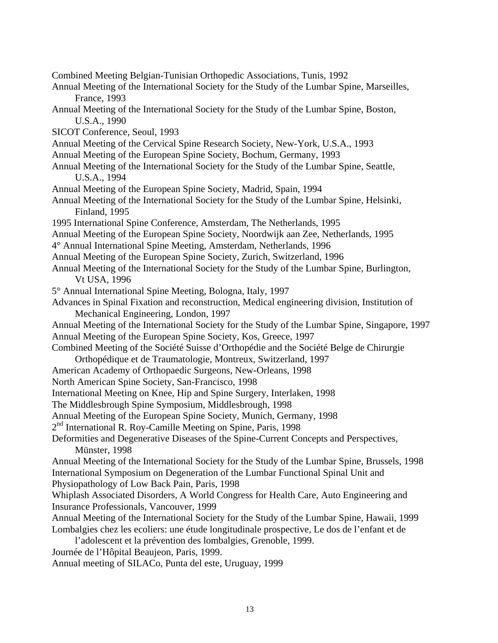Combined Meeting Belgian-Tunisian Orthopedic Associations, Tunis, 1992 Annual Meeting of the International Society for the Study of the Lumbar Spine, Marseilles, France, 1993 Annual Meeting of the International Society for the Study of the Lumbar Spine, Boston, U.S.A., 1990 SICOT Conference, Seoul, 1993 Annual Meeting of the Cervical Spine Research Society, New-York, U.S.A., 1993 Annual Meeting of the European Spine Society, Bochum, Germany, 1993 Annual Meeting of the International Society for the Study of the Lumbar Spine, Seattle, U.S.A., 1994 Annual Meeting of the European Spine Society, Madrid, Spain, 1994 Annual Meeting of the International Society for the Study of the Lumbar Spine, Helsinki, Finland, 1995 1995 International Spine Conference, Amsterdam, The Netherlands, 1995 Annual Meeting of the European Spine Society, Noordwijk aan Zee, Netherlands, 1995 4° Annual International Spine Meeting, Amsterdam, Netherlands, 1996 Annual Meeting of the European Spine Society, Zurich, Switzerland, 1996 Annual Meeting of the International Society for the Study of the Lumbar Spine, Burlington, Vt USA, 1996 5° Annual International Spine Meeting, Bologna, Italy, 1997 Advances in Spinal Fixation and reconstruction, Medical engineering division, Institution of Mechanical Engineering, London, 1997 Annual Meeting of the International Society for the Study of the Lumbar Spine, Singapore, 1997 Annual Meeting of the European Spine Society, Kos, Greece, 1997 Combined Meeting of the Société Suisse d'Orthopédie and the Société Belge de Chirurgie Orthopédique et de Traumatologie, Montreux, Switzerland, 1997 American Academy of Orthopaedic Surgeons, New-Orleans, 1998 North American Spine Society, San-Francisco, 1998 International Meeting on Knee, Hip and Spine Surgery, Interlaken, 1998 The Middlesbrough Spine Symposium, Middlesbrough, 1998 Annual Meeting of the European Spine Society, Munich, Germany, 1998 2<sup>nd</sup> International R. Roy-Camille Meeting on Spine, Paris, 1998 Deformities and Degenerative Diseases of the Spine-Current Concepts and Perspectives, Münster, 1998 Annual Meeting of the International Society for the Study of the Lumbar Spine, Brussels, 1998 International Symposium on Degeneration of the Lumbar Functional Spinal Unit and Physiopathology of Low Back Pain, Paris, 1998 Whiplash Associated Disorders, A World Congress for Health Care, Auto Engineering and Insurance Professionals, Vancouver, 1999 Annual Meeting of the International Society for the Study of the Lumbar Spine, Hawaii, 1999 Lombalgies chez les ecoliers: une étude longitudinale prospective, Le dos de l'enfant et de l'adolescent et la prévention des lombalgies, Grenoble, 1999. Journée de l'Hôpital Beaujeon, Paris, 1999. Annual meeting of SILACo, Punta del este, Uruguay, 1999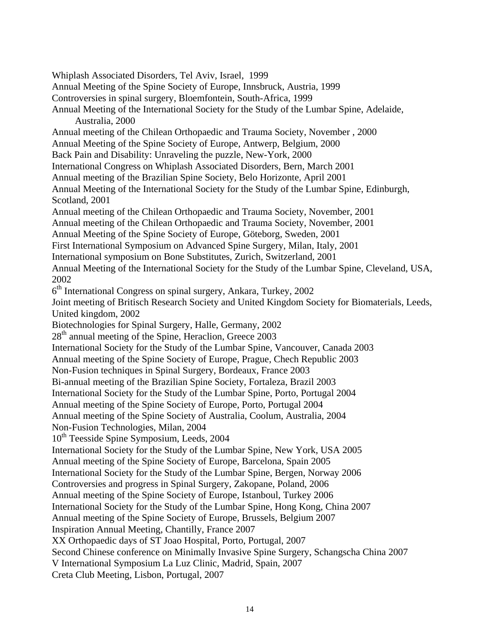Whiplash Associated Disorders, Tel Aviv, Israel, 1999 Annual Meeting of the Spine Society of Europe, Innsbruck, Austria, 1999 Controversies in spinal surgery, Bloemfontein, South-Africa, 1999 Annual Meeting of the International Society for the Study of the Lumbar Spine, Adelaide, Australia, 2000 Annual meeting of the Chilean Orthopaedic and Trauma Society, November , 2000 Annual Meeting of the Spine Society of Europe, Antwerp, Belgium, 2000 Back Pain and Disability: Unraveling the puzzle, New-York, 2000 International Congress on Whiplash Associated Disorders, Bern, March 2001 Annual meeting of the Brazilian Spine Society, Belo Horizonte, April 2001 Annual Meeting of the International Society for the Study of the Lumbar Spine, Edinburgh, Scotland, 2001 Annual meeting of the Chilean Orthopaedic and Trauma Society, November, 2001 Annual meeting of the Chilean Orthopaedic and Trauma Society, November, 2001 Annual Meeting of the Spine Society of Europe, Göteborg, Sweden, 2001 First International Symposium on Advanced Spine Surgery, Milan, Italy, 2001 International symposium on Bone Substitutes, Zurich, Switzerland, 2001 Annual Meeting of the International Society for the Study of the Lumbar Spine, Cleveland, USA, 2002  $6<sup>th</sup>$  International Congress on spinal surgery, Ankara, Turkey, 2002 Joint meeting of Britisch Research Society and United Kingdom Society for Biomaterials, Leeds, United kingdom, 2002 Biotechnologies for Spinal Surgery, Halle, Germany, 2002  $28<sup>th</sup>$  annual meeting of the Spine, Heraclion, Greece 2003 International Society for the Study of the Lumbar Spine, Vancouver, Canada 2003 Annual meeting of the Spine Society of Europe, Prague, Chech Republic 2003 Non-Fusion techniques in Spinal Surgery, Bordeaux, France 2003 Bi-annual meeting of the Brazilian Spine Society, Fortaleza, Brazil 2003 International Society for the Study of the Lumbar Spine, Porto, Portugal 2004 Annual meeting of the Spine Society of Europe, Porto, Portugal 2004 Annual meeting of the Spine Society of Australia, Coolum, Australia, 2004 Non-Fusion Technologies, Milan, 2004 10<sup>th</sup> Teesside Spine Symposium, Leeds, 2004 International Society for the Study of the Lumbar Spine, New York, USA 2005 Annual meeting of the Spine Society of Europe, Barcelona, Spain 2005 International Society for the Study of the Lumbar Spine, Bergen, Norway 2006 Controversies and progress in Spinal Surgery, Zakopane, Poland, 2006 Annual meeting of the Spine Society of Europe, Istanboul, Turkey 2006 International Society for the Study of the Lumbar Spine, Hong Kong, China 2007 Annual meeting of the Spine Society of Europe, Brussels, Belgium 2007 Inspiration Annual Meeting, Chantilly, France 2007 XX Orthopaedic days of ST Joao Hospital, Porto, Portugal, 2007 Second Chinese conference on Minimally Invasive Spine Surgery, Schangscha China 2007 V International Symposium La Luz Clinic, Madrid, Spain, 2007 Creta Club Meeting, Lisbon, Portugal, 2007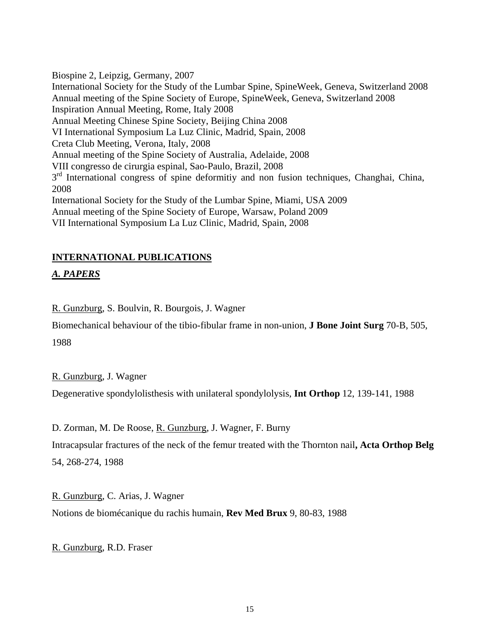Biospine 2, Leipzig, Germany, 2007

International Society for the Study of the Lumbar Spine, SpineWeek, Geneva, Switzerland 2008 Annual meeting of the Spine Society of Europe, SpineWeek, Geneva, Switzerland 2008 Inspiration Annual Meeting, Rome, Italy 2008 Annual Meeting Chinese Spine Society, Beijing China 2008 VI International Symposium La Luz Clinic, Madrid, Spain, 2008 Creta Club Meeting, Verona, Italy, 2008 Annual meeting of the Spine Society of Australia, Adelaide, 2008 VIII congresso de cirurgia espinal, Sao-Paulo, Brazil, 2008  $3<sup>rd</sup>$  International congress of spine deformitiv and non fusion techniques, Changhai, China, 2008 International Society for the Study of the Lumbar Spine, Miami, USA 2009 Annual meeting of the Spine Society of Europe, Warsaw, Poland 2009 VII International Symposium La Luz Clinic, Madrid, Spain, 2008

# **INTERNATIONAL PUBLICATIONS**

# *A. PAPERS*

R. Gunzburg, S. Boulvin, R. Bourgois, J. Wagner

Biomechanical behaviour of the tibio-fibular frame in non-union, **J Bone Joint Surg** 70-B, 505, 1988

R. Gunzburg, J. Wagner

Degenerative spondylolisthesis with unilateral spondylolysis, **Int Orthop** 12, 139-141, 1988

D. Zorman, M. De Roose, <u>R. Gunzburg</u>, J. Wagner, F. Burny

Intracapsular fractures of the neck of the femur treated with the Thornton nail**, Acta Orthop Belg**  54, 268-274, 1988

R. Gunzburg, C. Arias, J. Wagner Notions de biomécanique du rachis humain, **Rev Med Brux** 9, 80-83, 1988

R. Gunzburg, R.D. Fraser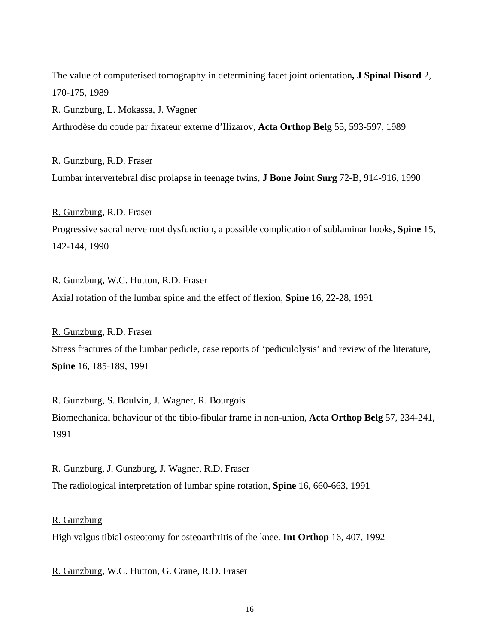The value of computerised tomography in determining facet joint orientation**, J Spinal Disord** 2, 170-175, 1989

R. Gunzburg, L. Mokassa, J. Wagner Arthrodèse du coude par fixateur externe d'Ilizarov, **Acta Orthop Belg** 55, 593-597, 1989

R. Gunzburg, R.D. Fraser Lumbar intervertebral disc prolapse in teenage twins, **J Bone Joint Surg** 72-B, 914-916, 1990

R. Gunzburg, R.D. Fraser Progressive sacral nerve root dysfunction, a possible complication of sublaminar hooks, **Spine** 15, 142-144, 1990

R. Gunzburg, W.C. Hutton, R.D. Fraser Axial rotation of the lumbar spine and the effect of flexion, **Spine** 16, 22-28, 1991

R. Gunzburg, R.D. Fraser Stress fractures of the lumbar pedicle, case reports of 'pediculolysis' and review of the literature, **Spine** 16, 185-189, 1991

R. Gunzburg, S. Boulvin, J. Wagner, R. Bourgois Biomechanical behaviour of the tibio-fibular frame in non-union, **Acta Orthop Belg** 57, 234-241, 1991

R. Gunzburg, J. Gunzburg, J. Wagner, R.D. Fraser The radiological interpretation of lumbar spine rotation, **Spine** 16, 660-663, 1991

R. Gunzburg

High valgus tibial osteotomy for osteoarthritis of the knee. **Int Orthop** 16, 407, 1992

R. Gunzburg, W.C. Hutton, G. Crane, R.D. Fraser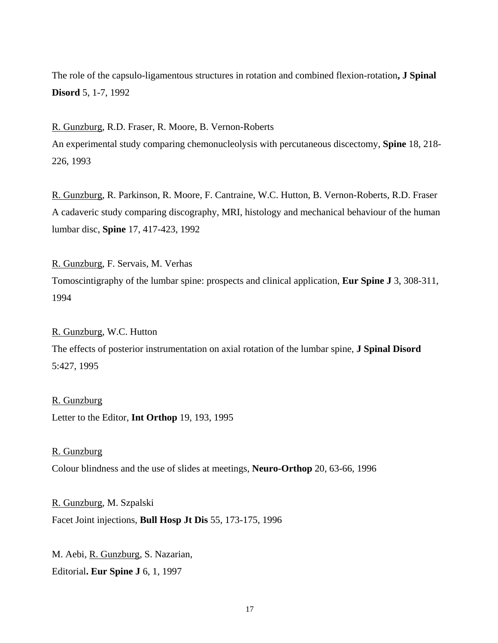The role of the capsulo-ligamentous structures in rotation and combined flexion-rotation**, J Spinal Disord** 5, 1-7, 1992

R. Gunzburg, R.D. Fraser, R. Moore, B. Vernon-Roberts An experimental study comparing chemonucleolysis with percutaneous discectomy, **Spine** 18, 218- 226, 1993

R. Gunzburg, R. Parkinson, R. Moore, F. Cantraine, W.C. Hutton, B. Vernon-Roberts, R.D. Fraser A cadaveric study comparing discography, MRI, histology and mechanical behaviour of the human lumbar disc, **Spine** 17, 417-423, 1992

R. Gunzburg, F. Servais, M. Verhas

Tomoscintigraphy of the lumbar spine: prospects and clinical application, **Eur Spine J** 3, 308-311, 1994

R. Gunzburg, W.C. Hutton

The effects of posterior instrumentation on axial rotation of the lumbar spine, **J Spinal Disord**  5:427, 1995

Letter to the Editor, **Int Orthop** 19, 193, 1995 R. Gunzburg

Colour blindness and the use of slides at meetings, **Neuro-Orthop** 20, 63-66, 1996 R. Gunzburg

R. Gunzburg, M. Szpalski Facet Joint injections, **Bull Hosp Jt Dis** 55, 173-175, 1996

M. Aebi, R. Gunzburg, S. Nazarian, Editorial**. Eur Spine J** 6, 1, 1997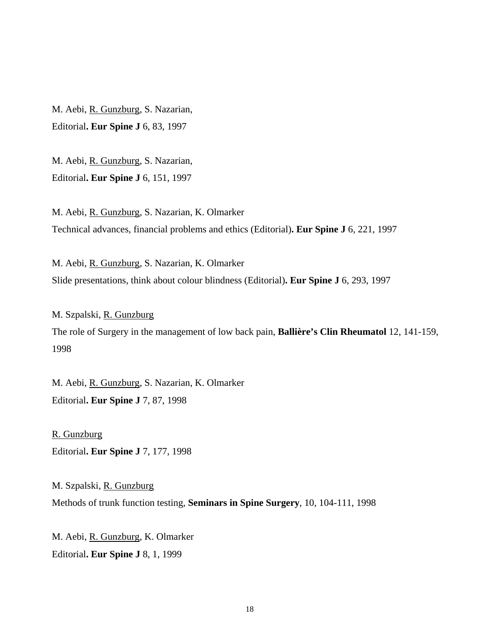M. Aebi, R. Gunzburg, S. Nazarian, Editorial**. Eur Spine J** 6, 83, 1997

M. Aebi, R. Gunzburg, S. Nazarian, Editorial**. Eur Spine J** 6, 151, 1997

M. Aebi, <u>R. Gunzburg,</u> S. Nazarian, K. Olmarker Technical advances, financial problems and ethics (Editorial)**. Eur Spine J** 6, 221, 1997

M. Aebi, R. Gunzburg, S. Nazarian, K. Olmarker Slide presentations, think about colour blindness (Editorial)**. Eur Spine J** 6, 293, 1997

M. Szpalski, <u>R. Gunzburg</u> The role of Surgery in the management of low back pain, **Ballière's Clin Rheumatol** 12, 141-159, 1998

M. Aebi, <u>R. Gunzburg,</u> S. Nazarian, K. Olmarker Editorial**. Eur Spine J** 7, 87, 1998

Editorial**. Eur Spine J** 7, 177, 1998 R. Gunzburg

M. Szpalski, R. Gunzburg Methods of trunk function testing, **Seminars in Spine Surgery**, 10, 104-111, 1998

M. Aebi, <u>R. Gunzburg,</u> K. Olmarker Editorial**. Eur Spine J** 8, 1, 1999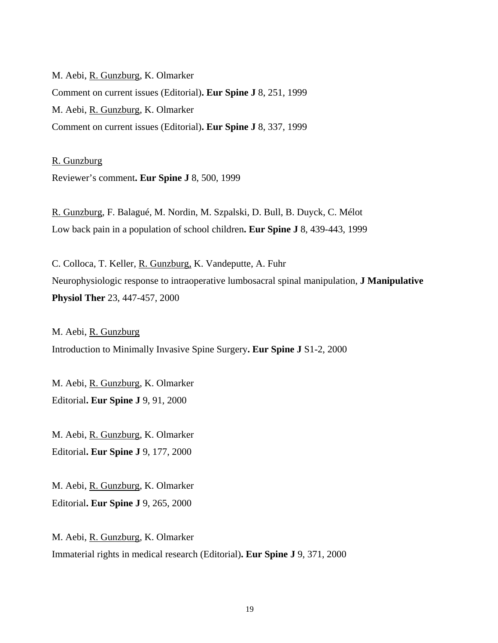M. Aebi, <u>R. Gunzburg,</u> K. Olmarker Comment on current issues (Editorial)**. Eur Spine J** 8, 251, 1999 M. Aebi, <u>R. Gunzburg,</u> K. Olmarker Comment on current issues (Editorial)**. Eur Spine J** 8, 337, 1999

Reviewer's comment**. Eur Spine J** 8, 500, 1999 R. Gunzburg

R. Gunzburg, F. Balagué, M. Nordin, M. Szpalski, D. Bull, B. Duyck, C. Mélot Low back pain in a population of school children**. Eur Spine J** 8, 439-443, 1999

C. Colloca, T. Keller, R. Gunzburg, K. Vandeputte, A. Fuhr Neurophysiologic response to intraoperative lumbosacral spinal manipulation, **J Manipulative Physiol Ther** 23, 447-457, 2000

M. Aebi, <u>R. Gunzburg</u> Introduction to Minimally Invasive Spine Surgery**. Eur Spine J** S1-2, 2000

M. Aebi, R. Gunzburg, K. Olmarker Editorial**. Eur Spine J** 9, 91, 2000

M. Aebi, <u>R. Gunzburg,</u> K. Olmarker Editorial**. Eur Spine J** 9, 177, 2000

M. Aebi, R. Gunzburg, K. Olmarker Editorial**. Eur Spine J** 9, 265, 2000

M. Aebi, <u>R. Gunzburg,</u> K. Olmarker Immaterial rights in medical research (Editorial)**. Eur Spine J** 9, 371, 2000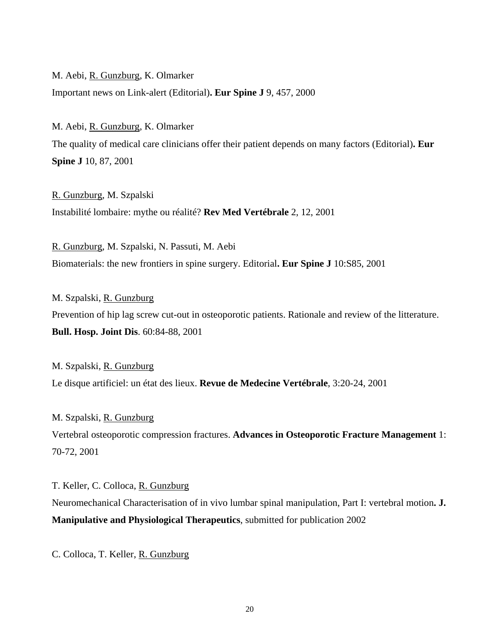M. Aebi, <u>R. Gunzburg,</u> K. Olmarker

Important news on Link-alert (Editorial)**. Eur Spine J** 9, 457, 2000

M. Aebi, <u>R. Gunzburg,</u> K. Olmarker The quality of medical care clinicians offer their patient depends on many factors (Editorial)**. Eur Spine J** 10, 87, 2001

R. Gunzburg, M. Szpalski Instabilité lombaire: mythe ou réalité? **Rev Med Vertébrale** 2, 12, 2001

R. Gunzburg, M. Szpalski, N. Passuti, M. Aebi Biomaterials: the new frontiers in spine surgery. Editorial**. Eur Spine J** 10:S85, 2001

M. Szpalski, R. Gunzburg Prevention of hip lag screw cut-out in osteoporotic patients. Rationale and review of the litterature. **Bull. Hosp. Joint Dis**. 60:84-88, 2001

M. Szpalski, <u>R. Gunzburg</u> Le disque artificiel: un état des lieux. **Revue de Medecine Vertébrale**, 3:20-24, 2001

M. Szpalski, R. Gunzburg Vertebral osteoporotic compression fractures. **Advances in Osteoporotic Fracture Management** 1: 70-72, 2001

T. Keller, C. Colloca, <u>R. Gunzburg</u> Neuromechanical Characterisation of in vivo lumbar spinal manipulation, Part I: vertebral motion**. J. Manipulative and Physiological Therapeutics**, submitted for publication 2002

C. Colloca, T. Keller, R. Gunzburg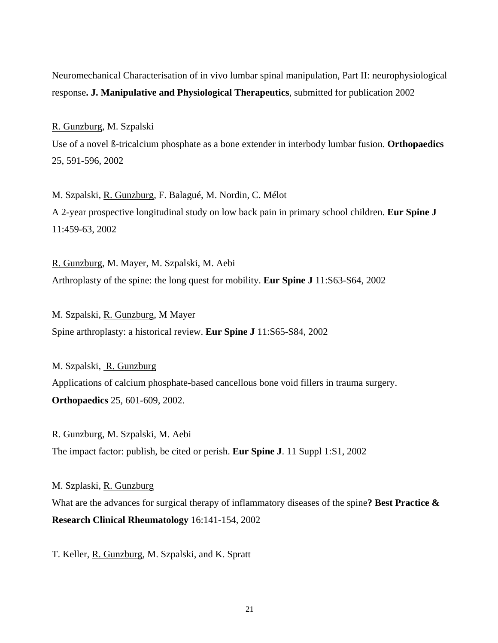Neuromechanical Characterisation of in vivo lumbar spinal manipulation, Part II: neurophysiological response**. J. Manipulative and Physiological Therapeutics**, submitted for publication 2002

R. Gunzburg, M. Szpalski

Use of a novel ß-tricalcium phosphate as a bone extender in interbody lumbar fusion. **Orthopaedics** 25, 591-596, 2002

M. Szpalski, <u>R. Gunzburg,</u> F. Balagué, M. Nordin, C. Mélot A 2-year prospective longitudinal study on low back pain in primary school children. **Eur Spine J**  11:459-63, 2002

R. Gunzburg, M. Mayer, M. Szpalski, M. Aebi Arthroplasty of the spine: the long quest for mobility. **Eur Spine J** 11:S63-S64, 2002

M. Szpalski, <u>R. Gunzburg,</u> M Mayer Spine arthroplasty: a historical review. **Eur Spine J** 11:S65-S84, 2002

M. Szpalski, R. Gunzburg Applications of calcium phosphate-based cancellous bone void fillers in trauma surgery. **Orthopaedics** 25, 601-609, 2002.

R. Gunzburg, M. Szpalski, M. Aebi The impact factor: publish, be cited or perish. **Eur Spine J**. 11 Suppl 1:S1, 2002

M. Szplaski, <u>R. Gunzburg</u> What are the advances for surgical therapy of inflammatory diseases of the spine**? Best Practice & Research Clinical Rheumatology** 16:141-154, 2002

T. Keller, R. Gunzburg, M. Szpalski, and K. Spratt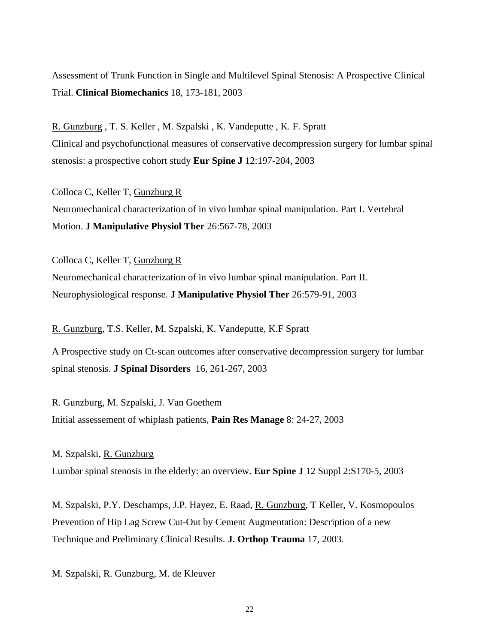Assessment of Trunk Function in Single and Multilevel Spinal Stenosis: A Prospective Clinical Trial. **Clinical Biomechanics** 18, 173-181, 2003

R. Gunzburg , T. S. Keller , M. Szpalski , K. Vandeputte , K. F. Spratt Clinical and psychofunctional measures of conservative decompression surgery for lumbar spinal stenosis: a prospective cohort study **Eur Spine J** 12:197-204, 2003

Colloca C, Keller T, <u>Gunzburg R</u> Neuromechanical characterization of in vivo lumbar spinal manipulation. Part I. Vertebral Motion. **J Manipulative Physiol Ther** 26:567-78, 2003

Colloca C, Keller T, <u>Gunzburg R</u> Neuromechanical characterization of in vivo lumbar spinal manipulation. Part II. Neurophysiological response. **J Manipulative Physiol Ther** 26:579-91, 2003

R. Gunzburg, T.S. Keller, M. Szpalski, K. Vandeputte, K.F Spratt

A Prospective study on Ct-scan outcomes after conservative decompression surgery for lumbar spinal stenosis. **J Spinal Disorders** 16, 261-267, 2003

R. Gunzburg, M. Szpalski, J. Van Goethem Initial assessement of whiplash patients, **Pain Res Manage** 8: 24-27, 2003

M. Szpalski, R. Gunzburg Lumbar spinal stenosis in the elderly: an overview. **Eur Spine J** 12 Suppl 2:S170-5, 2003

M. Szpalski, P.Y. Deschamps, J.P. Hayez, E. Raad, <u>R. Gunzburg,</u> T Keller, V. Kosmopoulos Prevention of Hip Lag Screw Cut-Out by Cement Augmentation: Description of a new Technique and Preliminary Clinical Results. **J. Orthop Trauma** 17, 2003.

M. Szpalski, R. Gunzburg, M. de Kleuver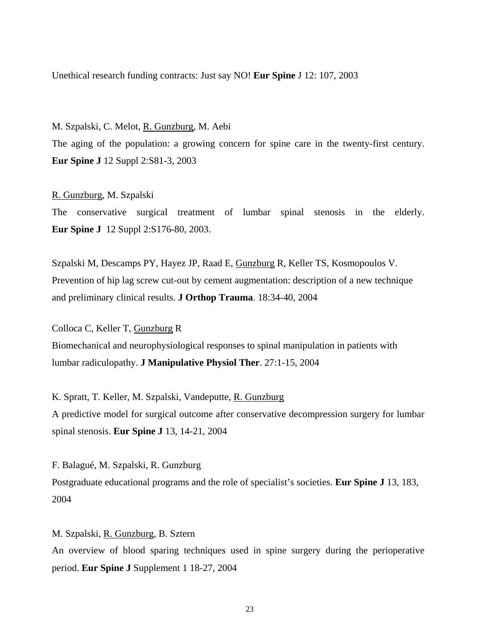Unethical research funding contracts: Just say NO! **Eur Spine** J 12: 107, 2003

M. Szpalski, C. Melot, <u>R. Gunzburg,</u> M. Aebi The aging of the population: a growing concern for spine care in the twenty-first century. **Eur Spine J** 12 Suppl 2:S81-3, 2003

R. Gunzburg, M. Szpalski The conservative surgical treatment of lumbar spinal stenosis in the elderly. **Eur Spine J** 12 Suppl 2:S176-80, 2003.

Szpalski M, Descamps PY, Hayez JP, Raad E, Gunzburg R, Keller TS, Kosmopoulos V. Prevention of hip lag screw cut-out by cement augmentation: description of a new technique and preliminary clinical results. **J Orthop Trauma**. 18:34-40, 2004

Colloca C, Keller T, Gunzburg R Biomechanical and neurophysiological responses to spinal manipulation in patients with lumbar radiculopathy. **J Manipulative Physiol Ther**. 27:1-15, 2004

K. Spratt, T. Keller, M. Szpalski, Vandeputte, R. Gunzburg A predictive model for surgical outcome after conservative decompression surgery for lumbar spinal stenosis. **Eur Spine J** 13, 14-21, 2004

F. Balagué, M. Szpalski, R. Gunzburg Postgraduate educational programs and the role of specialist's societies. **Eur Spine J** 13, 183, 2004

M. Szpalski, <u>R. Gunzburg,</u> B. Sztern An overview of blood sparing techniques used in spine surgery during the perioperative period. **Eur Spine J** Supplement 1 18-27, 2004

23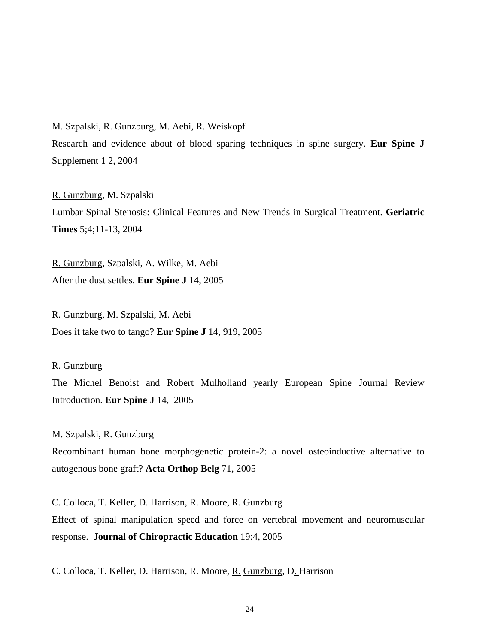M. Szpalski, <u>R. Gunzburg,</u> M. Aebi, R. Weiskopf

Research and evidence about of blood sparing techniques in spine surgery. **Eur Spine J** Supplement 1 2, 2004

R. Gunzburg, M. Szpalski Lumbar Spinal Stenosis: Clinical Features and New Trends in Surgical Treatment. **Geriatric Times** 5;4;11-13, 2004

R. Gunzburg, Szpalski, A. Wilke, M. Aebi After the dust settles. **Eur Spine J** 14, 2005

R. Gunzburg, M. Szpalski, M. Aebi Does it take two to tango? **Eur Spine J** 14, 919, 2005

#### R. Gunzburg

The Michel Benoist and Robert Mulholland yearly European Spine Journal Review Introduction. **Eur Spine J** 14, 2005

M. Szpalski, R. Gunzburg

Recombinant human bone morphogenetic protein-2: a novel osteoinductive alternative to autogenous bone graft? **Acta Orthop Belg** 71, 2005

C. Colloca, T. Keller, D. Harrison, R. Moore, <u>R. Gunzburg</u> Effect of spinal manipulation speed and force on vertebral movement and neuromuscular response. **Journal of Chiropractic Education** 19:4, 2005

C. [Colloca, T. Keller, D.](http://www.ncbi.nlm.nih.gov/entrez/query.fcgi?db=pubmed&cmd=Search&itool=pubmed_Abstract&term=%22Colloca+CJ%22%5BAuthor%5D) [Harrison, R. Moore, R.](http://www.ncbi.nlm.nih.gov/entrez/query.fcgi?db=pubmed&cmd=Search&itool=pubmed_Abstract&term=%22Harrison+DE%22%5BAuthor%5D) [Gunzburg, D. Harrison](http://www.ncbi.nlm.nih.gov/entrez/query.fcgi?db=pubmed&cmd=Search&itool=pubmed_Abstract&term=%22Gunzburg+R%22%5BAuthor%5D)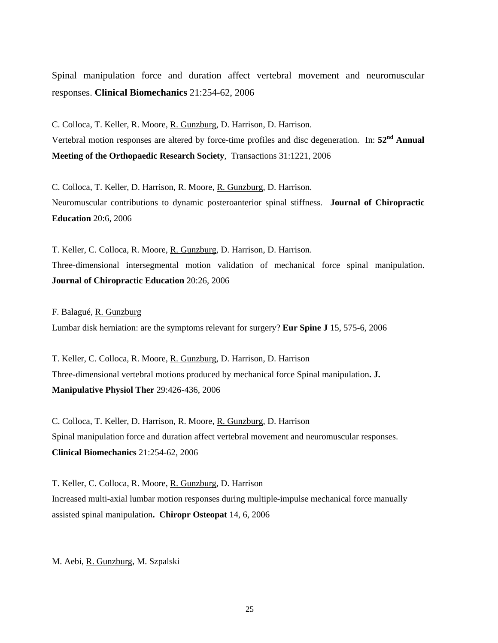Spinal manipulation force and duration affect vertebral movement and neuromuscular responses. **Clinical Biomechanics** 21:254-62, 2006

C. Colloca, T. Keller, R. Moore, R. Gunzburg, D. Harrison, D. Harrison. Vertebral motion responses are altered by force-time profiles and disc degeneration. In: **52nd Annual Meeting of the Orthopaedic Research Society**, Transactions 31:1221, 2006

C. Colloca, T. Keller, D. Harrison, R. Moore, R. Gunzburg, D. Harrison. Neuromuscular contributions to dynamic posteroanterior spinal stiffness. **Journal of Chiropractic Education** 20:6, 2006

T. Keller, C. Colloca, R. Moore, R. Gunzburg, D. Harrison, D. Harrison. Three-dimensional intersegmental motion validation of mechanical force spinal manipulation. **Journal of Chiropractic Education** 20:26, 2006

F. Balagué, <u>R. Gunzburg</u> Lumbar disk herniation: are the symptoms relevant for surgery? **Eur Spine J** 15, 575-6, 2006

T. Keller, C. Colloca, R. Moore, <u>R. Gunzburg</u>, D. Harrison, D. Harrison Three-dimensional vertebral motions produced by mechanical force Spinal manipulation**. J. Manipulative Physiol Ther** 29:426-436, 2006

C. Colloca, T. Keller, D. Harrison, R. Moore, R. Gunzburg, D. Harrison Spinal manipulation force and duration affect vertebral movement and neuromuscular responses. **Clinical Biomechanics** 21:254-62, 2006

T. Keller, C. Colloca, R. Moore, R. Gunzburg, D. Harrison Increased multi-axial lumbar motion responses during multiple-impulse mechanical force manually assisted spinal manipulation**. Chiropr Osteopat** 14, 6, 2006

M. Aebi, R. Gunzburg, M. Szpalski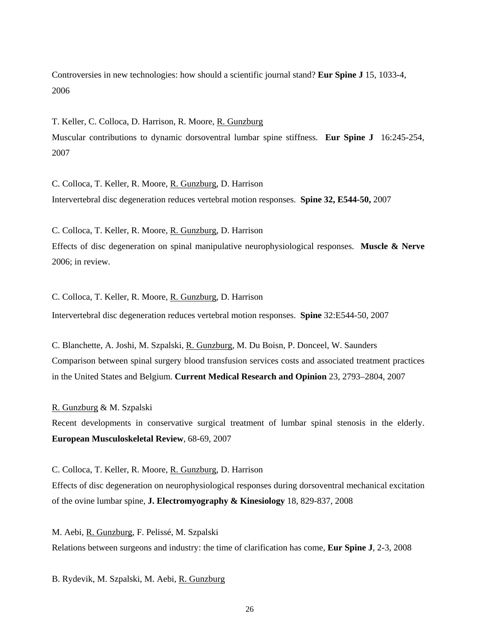Controversies in new technologies: how should a scientific journal stand? **Eur Spine J** 15, 1033-4, 2006

T. Keller, C. Colloca, D. Harrison, R. Moore, <u>R. Gunzburg</u> Muscular contributions to dynamic dorsoventral lumbar spine stiffness. **Eur Spine J** 16:245-254, 2007

C. Colloca, T. Keller, R. Moore, R. Gunzburg, D. Harrison Intervertebral disc degeneration reduces vertebral motion responses. **Spine 32, E544-50,** 2007

C. Colloca, T. Keller, R. Moore, R. Gunzburg, D. Harrison Effects of disc degeneration on spinal manipulative neurophysiological responses. **Muscle & Nerve** 2006; in review.

C. Colloca, T. Keller, R. Moore, R. Gunzburg, D. Harrison

Intervertebral disc degeneration reduces vertebral motion responses. **Spine** 32:E544-50, 2007

C. Blanchette, A. Joshi, M. Szpalski, R. Gunzburg, M. Du Boisn, P. Donceel, W. Saunders Comparison between spinal surgery blood transfusion services costs and associated treatment practices in the United States and Belgium. **Current Medical Research and Opinion** 23, 2793–2804, 2007

R. Gunzburg & M. Szpalski

Recent developments in conservative surgical treatment of lumbar spinal stenosis in the elderly. **European Musculoskeletal Review**, 68-69, 2007

C. Colloca, T. Keller, R. Moore, R. Gunzburg, D. Harrison

Effects of disc degeneration on neurophysiological responses during dorsoventral mechanical excitation of the ovine lumbar spine, **J. Electromyography & Kinesiology** 18, 829-837, 2008

M. Aebi, <u>R. Gunzburg,</u> F. Pelissé, M. Szpalski Relations between surgeons and industry: the time of clarification has come, **Eur Spine J**, 2-3, 2008

B. Rydevik, M. Szpalski, M. Aebi, R. Gunzburg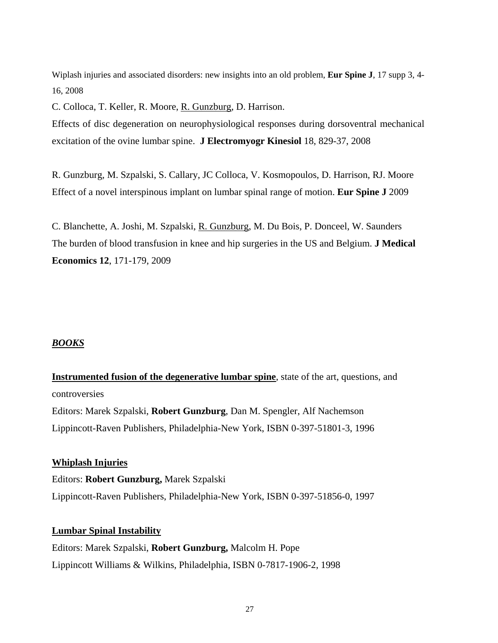Wiplash injuries and associated disorders: new insights into an old problem, **Eur Spine J**, 17 supp 3, 4- 16, 2008

C. Colloca, T. Keller, R. Moore, R. Gunzburg, D. Harrison.

Effects of disc degeneration on neurophysiological responses during dorsoventral mechanical excitation of the ovine lumbar spine. **J Electromyogr Kinesiol** 18, 829-37, 2008

R. [Gunzburg,](http://www.ncbi.nlm.nih.gov/sites/entrez?Db=pubmed&Cmd=Search&Term=%22Gunzburg%20R%22%5BAuthor%5D&itool=EntrezSystem2.PEntrez.Pubmed.Pubmed_ResultsPanel.Pubmed_DiscoveryPanel.Pubmed_RVAbstractPlus) M. [Szpalski,](http://www.ncbi.nlm.nih.gov/sites/entrez?Db=pubmed&Cmd=Search&Term=%22Szpalski%20M%22%5BAuthor%5D&itool=EntrezSystem2.PEntrez.Pubmed.Pubmed_ResultsPanel.Pubmed_DiscoveryPanel.Pubmed_RVAbstractPlus) S. [Callary,](http://www.ncbi.nlm.nih.gov/sites/entrez?Db=pubmed&Cmd=Search&Term=%22Callary%20SA%22%5BAuthor%5D&itool=EntrezSystem2.PEntrez.Pubmed.Pubmed_ResultsPanel.Pubmed_DiscoveryPanel.Pubmed_RVAbstractPlus) JC [Colloca,](http://www.ncbi.nlm.nih.gov/sites/entrez?Db=pubmed&Cmd=Search&Term=%22Colloca%20CJ%22%5BAuthor%5D&itool=EntrezSystem2.PEntrez.Pubmed.Pubmed_ResultsPanel.Pubmed_DiscoveryPanel.Pubmed_RVAbstractPlus) V. [Kosmopoulos,](http://www.ncbi.nlm.nih.gov/sites/entrez?Db=pubmed&Cmd=Search&Term=%22Kosmopoulos%20V%22%5BAuthor%5D&itool=EntrezSystem2.PEntrez.Pubmed.Pubmed_ResultsPanel.Pubmed_DiscoveryPanel.Pubmed_RVAbstractPlus) D. [Harrison,](http://www.ncbi.nlm.nih.gov/sites/entrez?Db=pubmed&Cmd=Search&Term=%22Harrison%20D%22%5BAuthor%5D&itool=EntrezSystem2.PEntrez.Pubmed.Pubmed_ResultsPanel.Pubmed_DiscoveryPanel.Pubmed_RVAbstractPlus) RJ. [Moore](http://www.ncbi.nlm.nih.gov/sites/entrez?Db=pubmed&Cmd=Search&Term=%22Moore%20RJ%22%5BAuthor%5D&itool=EntrezSystem2.PEntrez.Pubmed.Pubmed_ResultsPanel.Pubmed_DiscoveryPanel.Pubmed_RVAbstractPlus) Effect of a novel interspinous implant on lumbar spinal range of motion. **Eur Spine J** 2009

C. Blanchette, A. Joshi, M. Szpalski, R. Gunzburg, M. Du Bois, P. Donceel, W. Saunders The burden of blood transfusion in knee and hip surgeries in the US and Belgium. **J Medical Economics 12**, 171-179, 2009

#### *BOOKS*

**Instrumented fusion of the degenerative lumbar spine**, state of the art, questions, and Editors: Marek Szpalski, **Robert Gunzburg**, Dan M. Spengler, Alf Nachemson controversies Lippincott-Raven Publishers, Philadelphia-New York, ISBN 0-397-51801-3, 1996

Editors: **Robert Gunzburg,** Marek Szpalski **Whiplash Injuries** Lippincott-Raven Publishers, Philadelphia-New York, ISBN 0-397-51856-0, 1997

#### **Lumbar Spinal Instability**

Editors: Marek Szpalski, **Robert Gunzburg,** Malcolm H. Pope Lippincott Williams & Wilkins, Philadelphia, ISBN 0-7817-1906-2, 1998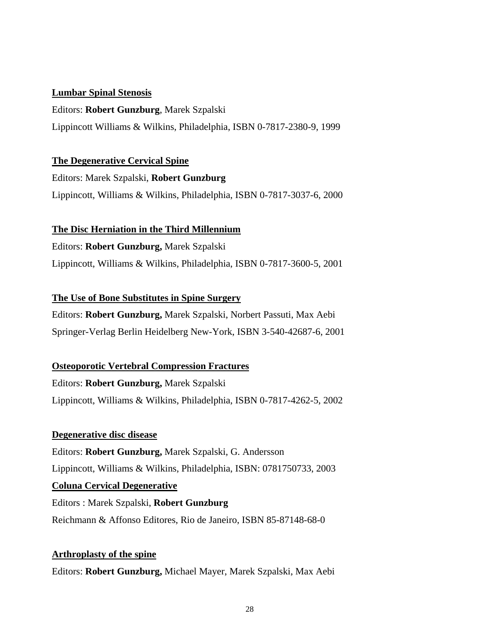#### **Lumbar Spinal Stenosis**

Editors: **Robert Gunzburg**, Marek Szpalski Lippincott Williams & Wilkins, Philadelphia, ISBN 0-7817-2380-9, 1999

### **The Degenerative Cervical Spine**

Editors: Marek Szpalski, **Robert Gunzburg** Lippincott, Williams & Wilkins, Philadelphia, ISBN 0-7817-3037-6, 2000

# **The Disc Herniation in the Third Millennium**

Editors: **Robert Gunzburg,** Marek Szpalski Lippincott, Williams & Wilkins, Philadelphia, ISBN 0-7817-3600-5, 2001

# **The Use of Bone Substitutes in Spine Surgery**

Editors: **Robert Gunzburg,** Marek Szpalski, Norbert Passuti, Max Aebi Springer-Verlag Berlin Heidelberg New-York, ISBN 3-540-42687-6, 2001

# **Osteoporotic Vertebral Compression Fractures**

Editors: **Robert Gunzburg,** Marek Szpalski Lippincott, Williams & Wilkins, Philadelphia, ISBN 0-7817-4262-5, 2002

# **Degenerative disc disease**

Editors: **Robert Gunzburg,** Marek Szpalski, G. Andersson Lippincott, Williams & Wilkins, Philadelphia, ISBN: 0781750733, 2003 Editors : Marek Szpalski, **Robert Gunzburg Coluna Cervical Degenerative** Reichmann & Affonso Editores, Rio de Janeiro, ISBN 85-87148-68-0

#### **Arthroplasty of the spine**

Editors: **Robert Gunzburg,** Michael Mayer, Marek Szpalski, Max Aebi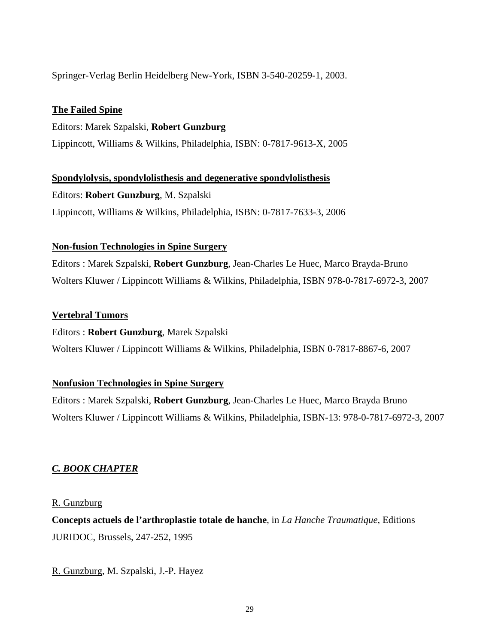Springer-Verlag Berlin Heidelberg New-York, ISBN 3-540-20259-1, 2003.

# **The Failed Spine**

Editors: Marek Szpalski, **Robert Gunzburg** Lippincott, Williams & Wilkins, Philadelphia, ISBN: 0-7817-9613-X, 2005

Editors: **Robert Gunzburg**, M. Szpalski **Spondylolysis, spondylolisthesis and degenerative spondylolisthesis** Lippincott, Williams & Wilkins, Philadelphia, ISBN: 0-7817-7633-3, 2006

### **Non-fusion Technologies in Spine Surgery**

Editors : Marek Szpalski, **Robert Gunzburg**, Jean-Charles Le Huec, Marco Brayda-Bruno Wolters Kluwer / Lippincott Williams & Wilkins, Philadelphia, ISBN 978-0-7817-6972-3, 2007

### **Vertebral Tumors**

#### Editors : **Robert Gunzburg**, Marek Szpalski

Wolters Kluwer / Lippincott Williams & Wilkins, Philadelphia, ISBN 0-7817-8867-6, 2007

#### **Nonfusion Technologies in Spine Surgery**

Editors : Marek Szpalski, **Robert Gunzburg**, Jean-Charles Le Huec, Marco Brayda Bruno Wolters Kluwer / Lippincott Williams & Wilkins, Philadelphia, ISBN-13: 978-0-7817-6972-3, 2007

# *C. BOOK CHAPTER*

#### R. Gunzburg

**Concepts actuels de l'arthroplastie totale de hanche**, in *La Hanche Traumatique*, Editions JURIDOC, Brussels, 247-252, 1995

R. Gunzburg, M. Szpalski, J.-P. Hayez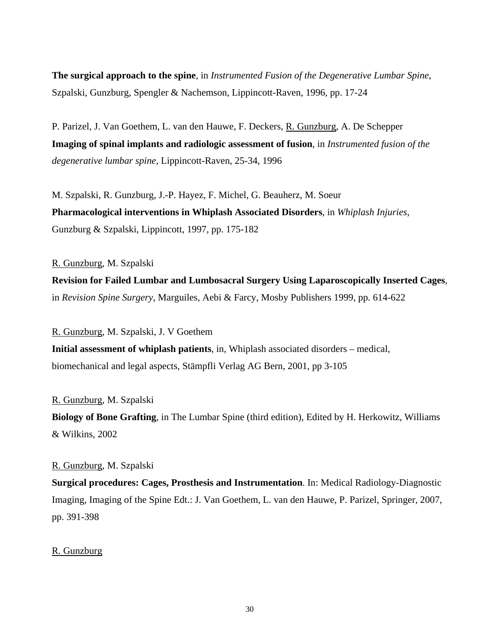**The surgical approach to the spine**, in *Instrumented Fusion of the Degenerative Lumbar Spine*, Szpalski, Gunzburg, Spengler & Nachemson, Lippincott-Raven, 1996, pp. 17-24

P. Parizel, J. Van Goethem, L. van den Hauwe, F. Deckers, R. Gunzburg, A. De Schepper **Imaging of spinal implants and radiologic assessment of fusion**, in *Instrumented fusion of the degenerative lumbar spine*, Lippincott-Raven, 25-34, 1996

M. Szpalski, R. Gunzburg, J.-P. Hayez, F. Michel, G. Beauherz, M. Soeur **Pharmacological interventions in Whiplash Associated Disorders**, in *Whiplash Injuries*, Gunzburg & Szpalski, Lippincott, 1997, pp. 175-182

R. Gunzburg, M. Szpalski

**Revision for Failed Lumbar and Lumbosacral Surgery Using Laparoscopically Inserted Cages**, in *Revision Spine Surgery*, Marguiles, Aebi & Farcy, Mosby Publishers 1999, pp. 614-622

R. Gunzburg, M. Szpalski, J. V Goethem **Initial assessment of whiplash patients**, in, Whiplash associated disorders – medical, biomechanical and legal aspects, Stämpfli Verlag AG Bern, 2001, pp 3-105

R. Gunzburg, M. Szpalski **Biology of Bone Grafting**, in The Lumbar Spine (third edition), Edited by H. Herkowitz, Williams & Wilkins, 2002

#### R. Gunzburg, M. Szpalski

**Surgical procedures: Cages, Prosthesis and Instrumentation**. In: Medical Radiology-Diagnostic Imaging, Imaging of the Spine Edt.: J. Van Goethem, L. van den Hauwe, P. Parizel, Springer, 2007, pp. 391-398

#### R. Gunzburg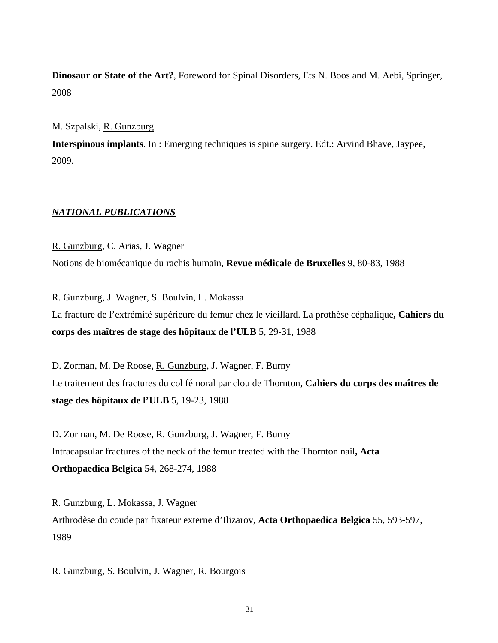**Dinosaur or State of the Art?**, Foreword for Spinal Disorders, Ets N. Boos and M. Aebi, Springer, 2008

M. Szpalski, R. Gunzburg

**Interspinous implants**. In : Emerging techniques is spine surgery. Edt.: Arvind Bhave, Jaypee, 2009.

#### *NATIONAL PUBLICATIONS*

R. Gunzburg, C. Arias, J. Wagner Notions de biomécanique du rachis humain, **Revue médicale de Bruxelles** 9, 80-83, 1988

R. Gunzburg, J. Wagner, S. Boulvin, L. Mokassa La fracture de l'extrémité supérieure du femur chez le vieillard. La prothèse céphalique**, Cahiers du corps des maîtres de stage des hôpitaux de l'ULB** 5, 29-31, 1988

D. Zorman, M. De Roose, R. Gunzburg, J. Wagner, F. Burny Le traitement des fractures du col fémoral par clou de Thornton**, Cahiers du corps des maîtres de stage des hôpitaux de l'ULB** 5, 19-23, 1988

D. Zorman, M. De Roose, R. Gunzburg, J. Wagner, F. Burny Intracapsular fractures of the neck of the femur treated with the Thornton nail**, Acta Orthopaedica Belgica** 54, 268-274, 1988

R. Gunzburg, L. Mokassa, J. Wagner Arthrodèse du coude par fixateur externe d'Ilizarov, **Acta Orthopaedica Belgica** 55, 593-597, 1989

R. Gunzburg, S. Boulvin, J. Wagner, R. Bourgois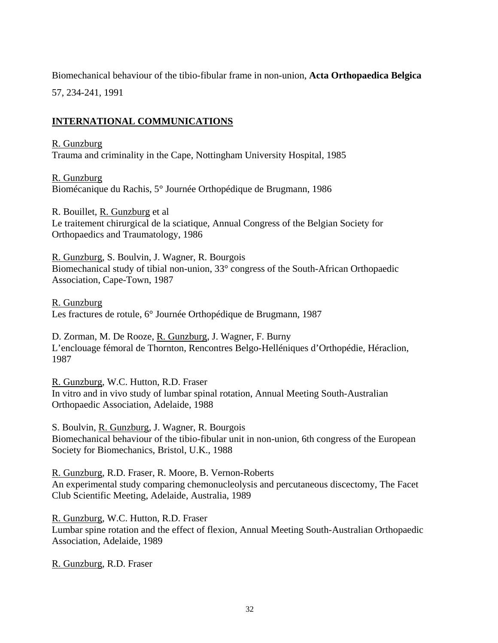Biomechanical behaviour of the tibio-fibular frame in non-union, **Acta Orthopaedica Belgica**

57, 234-241, 1991

# **INTERNATIONAL COMMUNICATIONS**

R. Gunzburg

Trauma and criminality in the Cape, Nottingham University Hospital, 1985

R. Gunzburg Biomécanique du Rachis, 5° Journée Orthopédique de Brugmann, 1986

R. Bouillet, R. Gunzburg et al Le traitement chirurgical de la sciatique, Annual Congress of the Belgian Society for Orthopaedics and Traumatology, 1986

R. Gunzburg, S. Boulvin, J. Wagner, R. Bourgois Biomechanical study of tibial non-union, 33° congress of the South-African Orthopaedic Association, Cape-Town, 1987

R. Gunzburg Les fractures de rotule, 6° Journée Orthopédique de Brugmann, 1987

D. Zorman, M. De Rooze, R. Gunzburg, J. Wagner, F. Burny L'enclouage fémoral de Thornton, Rencontres Belgo-Helléniques d'Orthopédie, Héraclion, 1987

R. Gunzburg, W.C. Hutton, R.D. Fraser In vitro and in vivo study of lumbar spinal rotation, Annual Meeting South-Australian Orthopaedic Association, Adelaide, 1988

S. Boulvin, R. Gunzburg, J. Wagner, R. Bourgois Biomechanical behaviour of the tibio-fibular unit in non-union, 6th congress of the European Society for Biomechanics, Bristol, U.K., 1988

R. Gunzburg, R.D. Fraser, R. Moore, B. Vernon-Roberts An experimental study comparing chemonucleolysis and percutaneous discectomy, The Facet Club Scientific Meeting, Adelaide, Australia, 1989

R. Gunzburg, W.C. Hutton, R.D. Fraser Lumbar spine rotation and the effect of flexion, Annual Meeting South-Australian Orthopaedic Association, Adelaide, 1989

R. Gunzburg, R.D. Fraser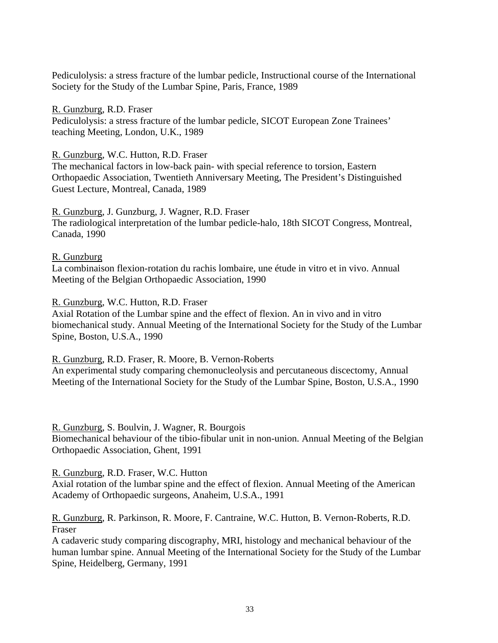Pediculolysis: a stress fracture of the lumbar pedicle, Instructional course of the International Society for the Study of the Lumbar Spine, Paris, France, 1989

R. Gunzburg, R.D. Fraser Pediculolysis: a stress fracture of the lumbar pedicle, SICOT European Zone Trainees' teaching Meeting, London, U.K., 1989

#### R. Gunzburg, W.C. Hutton, R.D. Fraser

The mechanical factors in low-back pain- with special reference to torsion, Eastern Orthopaedic Association, Twentieth Anniversary Meeting, The President's Distinguished Guest Lecture, Montreal, Canada, 1989

# R. Gunzburg, J. Gunzburg, J. Wagner, R.D. Fraser

The radiological interpretation of the lumbar pedicle-halo, 18th SICOT Congress, Montreal, Canada, 1990

#### R. Gunzburg

La combinaison flexion-rotation du rachis lombaire, une étude in vitro et in vivo. Annual Meeting of the Belgian Orthopaedic Association, 1990

#### R. Gunzburg, W.C. Hutton, R.D. Fraser

Axial Rotation of the Lumbar spine and the effect of flexion. An in vivo and in vitro biomechanical study. Annual Meeting of the International Society for the Study of the Lumbar Spine, Boston, U.S.A., 1990

R. Gunzburg, R.D. Fraser, R. Moore, B. Vernon-Roberts

An experimental study comparing chemonucleolysis and percutaneous discectomy, Annual Meeting of the International Society for the Study of the Lumbar Spine, Boston, U.S.A., 1990

#### R. Gunzburg, S. Boulvin, J. Wagner, R. Bourgois

Biomechanical behaviour of the tibio-fibular unit in non-union. Annual Meeting of the Belgian Orthopaedic Association, Ghent, 1991

#### R. Gunzburg, R.D. Fraser, W.C. Hutton

Axial rotation of the lumbar spine and the effect of flexion. Annual Meeting of the American Academy of Orthopaedic surgeons, Anaheim, U.S.A., 1991

### R. Gunzburg, R. Parkinson, R. Moore, F. Cantraine, W.C. Hutton, B. Vernon-Roberts, R.D. Fraser

A cadaveric study comparing discography, MRI, histology and mechanical behaviour of the human lumbar spine. Annual Meeting of the International Society for the Study of the Lumbar Spine, Heidelberg, Germany, 1991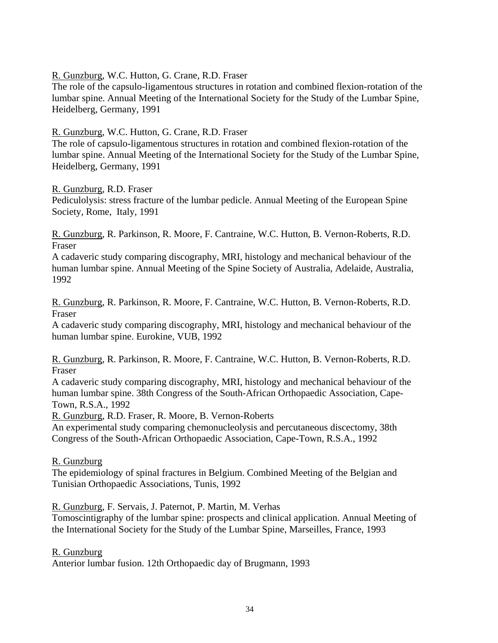R. Gunzburg, W.C. Hutton, G. Crane, R.D. Fraser

The role of the capsulo-ligamentous structures in rotation and combined flexion-rotation of the lumbar spine. Annual Meeting of the International Society for the Study of the Lumbar Spine, Heidelberg, Germany, 1991

R. Gunzburg, W.C. Hutton, G. Crane, R.D. Fraser

The role of capsulo-ligamentous structures in rotation and combined flexion-rotation of the lumbar spine. Annual Meeting of the International Society for the Study of the Lumbar Spine, Heidelberg, Germany, 1991

R. Gunzburg, R.D. Fraser

Pediculolysis: stress fracture of the lumbar pedicle. Annual Meeting of the European Spine Society, Rome, Italy, 1991

R. Gunzburg, R. Parkinson, R. Moore, F. Cantraine, W.C. Hutton, B. Vernon-Roberts, R.D. Fraser

A cadaveric study comparing discography, MRI, histology and mechanical behaviour of the human lumbar spine. Annual Meeting of the Spine Society of Australia, Adelaide, Australia, 1992

R. Gunzburg, R. Parkinson, R. Moore, F. Cantraine, W.C. Hutton, B. Vernon-Roberts, R.D. Fraser

A cadaveric study comparing discography, MRI, histology and mechanical behaviour of the human lumbar spine. Eurokine, VUB, 1992

R. Gunzburg, R. Parkinson, R. Moore, F. Cantraine, W.C. Hutton, B. Vernon-Roberts, R.D. Fraser

A cadaveric study comparing discography, MRI, histology and mechanical behaviour of the human lumbar spine. 38th Congress of the South-African Orthopaedic Association, Cape-Town, R.S.A., 1992

R. Gunzburg, R.D. Fraser, R. Moore, B. Vernon-Roberts

An experimental study comparing chemonucleolysis and percutaneous discectomy, 38th Congress of the South-African Orthopaedic Association, Cape-Town, R.S.A., 1992

R. Gunzburg

The epidemiology of spinal fractures in Belgium. Combined Meeting of the Belgian and Tunisian Orthopaedic Associations, Tunis, 1992

R. Gunzburg, F. Servais, J. Paternot, P. Martin, M. Verhas

Tomoscintigraphy of the lumbar spine: prospects and clinical application. Annual Meeting of the International Society for the Study of the Lumbar Spine, Marseilles, France, 1993

R. Gunzburg

Anterior lumbar fusion. 12th Orthopaedic day of Brugmann, 1993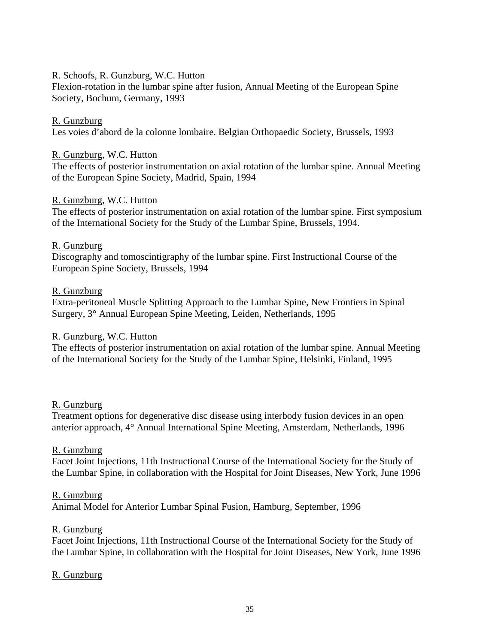## R. Schoofs, R. Gunzburg, W.C. Hutton

Flexion-rotation in the lumbar spine after fusion, Annual Meeting of the European Spine Society, Bochum, Germany, 1993

### R. Gunzburg

Les voies d'abord de la colonne lombaire. Belgian Orthopaedic Society, Brussels, 1993

#### R. Gunzburg, W.C. Hutton

The effects of posterior instrumentation on axial rotation of the lumbar spine. Annual Meeting of the European Spine Society, Madrid, Spain, 1994

### R. Gunzburg, W.C. Hutton

The effects of posterior instrumentation on axial rotation of the lumbar spine. First symposium of the International Society for the Study of the Lumbar Spine, Brussels, 1994.

### R. Gunzburg

Discography and tomoscintigraphy of the lumbar spine. First Instructional Course of the European Spine Society, Brussels, 1994

### R. Gunzburg

Extra-peritoneal Muscle Splitting Approach to the Lumbar Spine, New Frontiers in Spinal Surgery, 3° Annual European Spine Meeting, Leiden, Netherlands, 1995

# R. Gunzburg, W.C. Hutton

The effects of posterior instrumentation on axial rotation of the lumbar spine. Annual Meeting of the International Society for the Study of the Lumbar Spine, Helsinki, Finland, 1995

#### R. Gunzburg

Treatment options for degenerative disc disease using interbody fusion devices in an open anterior approach, 4° Annual International Spine Meeting, Amsterdam, Netherlands, 1996

#### R. Gunzburg

Facet Joint Injections, 11th Instructional Course of the International Society for the Study of the Lumbar Spine, in collaboration with the Hospital for Joint Diseases, New York, June 1996

#### R. Gunzburg

Animal Model for Anterior Lumbar Spinal Fusion, Hamburg, September, 1996

# R. Gunzburg

Facet Joint Injections, 11th Instructional Course of the International Society for the Study of the Lumbar Spine, in collaboration with the Hospital for Joint Diseases, New York, June 1996

# R. Gunzburg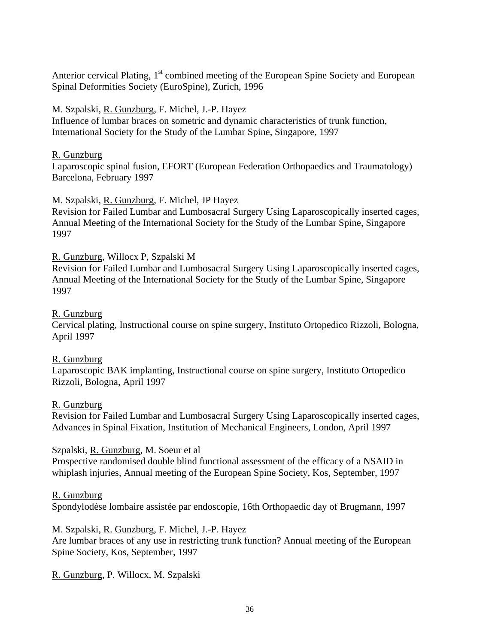Anterior cervical Plating, 1<sup>st</sup> combined meeting of the European Spine Society and European Spinal Deformities Society (EuroSpine), Zurich, 1996

# M. Szpalski, R. Gunzburg, F. Michel, J.-P. Hayez

Influence of lumbar braces on sometric and dynamic characteristics of trunk function, International Society for the Study of the Lumbar Spine, Singapore, 1997

# R. Gunzburg

Laparoscopic spinal fusion, EFORT (European Federation Orthopaedics and Traumatology) Barcelona, February 1997

# M. Szpalski, R. Gunzburg, F. Michel, JP Hayez

Revision for Failed Lumbar and Lumbosacral Surgery Using Laparoscopically inserted cages, Annual Meeting of the International Society for the Study of the Lumbar Spine, Singapore 1997

# R. Gunzburg, Willocx P, Szpalski M

Revision for Failed Lumbar and Lumbosacral Surgery Using Laparoscopically inserted cages, Annual Meeting of the International Society for the Study of the Lumbar Spine, Singapore 1997

# R. Gunzburg

Cervical plating, Instructional course on spine surgery, Instituto Ortopedico Rizzoli, Bologna, April 1997

# R. Gunzburg

Laparoscopic BAK implanting, Instructional course on spine surgery, Instituto Ortopedico Rizzoli, Bologna, April 1997

# R. Gunzburg

Revision for Failed Lumbar and Lumbosacral Surgery Using Laparoscopically inserted cages, Advances in Spinal Fixation, Institution of Mechanical Engineers, London, April 1997

# Szpalski, R. Gunzburg, M. Soeur et al

Prospective randomised double blind functional assessment of the efficacy of a NSAID in whiplash injuries, Annual meeting of the European Spine Society, Kos, September, 1997

# R. Gunzburg

Spondylodèse lombaire assistée par endoscopie, 16th Orthopaedic day of Brugmann, 1997

# M. Szpalski, R. Gunzburg, F. Michel, J.-P. Hayez

Are lumbar braces of any use in restricting trunk function? Annual meeting of the European Spine Society, Kos, September, 1997

# R. Gunzburg, P. Willocx, M. Szpalski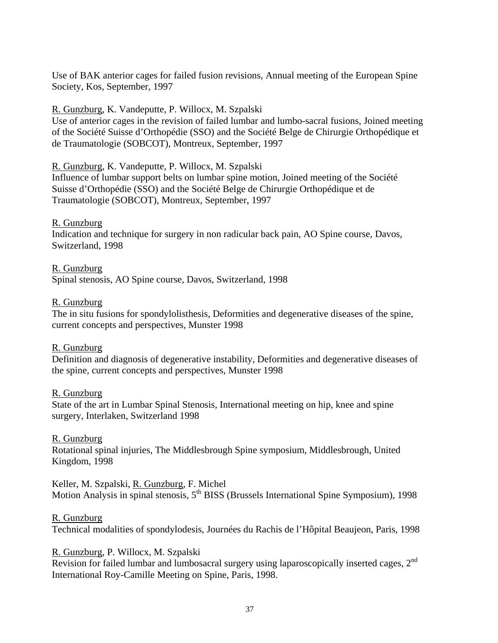Use of BAK anterior cages for failed fusion revisions, Annual meeting of the European Spine Society, Kos, September, 1997

### R. Gunzburg, K. Vandeputte, P. Willocx, M. Szpalski

Use of anterior cages in the revision of failed lumbar and lumbo-sacral fusions, Joined meeting of the Société Suisse d'Orthopédie (SSO) and the Société Belge de Chirurgie Orthopédique et de Traumatologie (SOBCOT), Montreux, September, 1997

R. Gunzburg, K. Vandeputte, P. Willocx, M. Szpalski

Influence of lumbar support belts on lumbar spine motion, Joined meeting of the Société Suisse d'Orthopédie (SSO) and the Société Belge de Chirurgie Orthopédique et de Traumatologie (SOBCOT), Montreux, September, 1997

R. Gunzburg Indication and technique for surgery in non radicular back pain, AO Spine course, Davos, Switzerland, 1998

#### R. Gunzburg

Spinal stenosis, AO Spine course, Davos, Switzerland, 1998

### R. Gunzburg

The in situ fusions for spondylolisthesis, Deformities and degenerative diseases of the spine, current concepts and perspectives, Munster 1998

#### R. Gunzburg

Definition and diagnosis of degenerative instability, Deformities and degenerative diseases of the spine, current concepts and perspectives, Munster 1998

#### R. Gunzburg

State of the art in Lumbar Spinal Stenosis, International meeting on hip, knee and spine surgery, Interlaken, Switzerland 1998

# R. Gunzburg

Rotational spinal injuries, The Middlesbrough Spine symposium, Middlesbrough, United Kingdom, 1998

Keller, M. Szpalski, R. Gunzburg, F. Michel Motion Analysis in spinal stenosis, 5<sup>th</sup> BISS (Brussels International Spine Symposium), 1998

# R. Gunzburg

Technical modalities of spondylodesis, Journées du Rachis de l'Hôpital Beaujeon, Paris, 1998

# R. Gunzburg, P. Willocx, M. Szpalski

Revision for failed lumbar and lumbosacral surgery using laparoscopically inserted cages,  $2<sup>nd</sup>$ International Roy-Camille Meeting on Spine, Paris, 1998.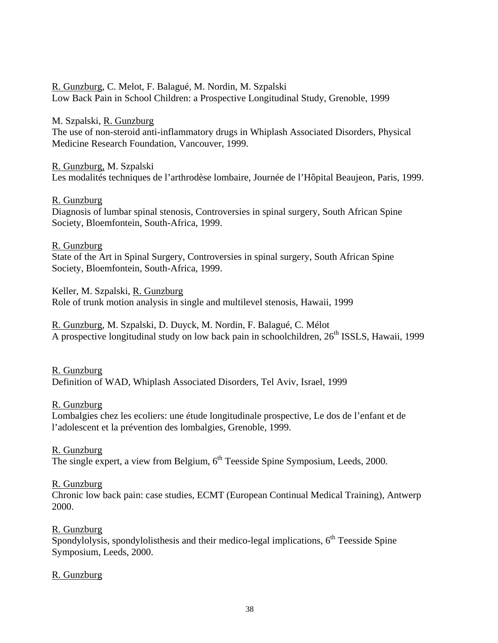R. Gunzburg, C. Melot, F. Balagué, M. Nordin, M. Szpalski Low Back Pain in School Children: a Prospective Longitudinal Study, Grenoble, 1999

M. Szpalski, R. Gunzburg The use of non-steroid anti-inflammatory drugs in Whiplash Associated Disorders, Physical Medicine Research Foundation, Vancouver, 1999.

#### R. Gunzburg, M. Szpalski

Les modalités techniques de l'arthrodèse lombaire, Journée de l'Hôpital Beaujeon, Paris, 1999.

#### R. Gunzburg

Diagnosis of lumbar spinal stenosis, Controversies in spinal surgery, South African Spine Society, Bloemfontein, South-Africa, 1999.

#### R. Gunzburg

State of the Art in Spinal Surgery, Controversies in spinal surgery, South African Spine Society, Bloemfontein, South-Africa, 1999.

Keller, M. Szpalski, R. Gunzburg Role of trunk motion analysis in single and multilevel stenosis, Hawaii, 1999

R. Gunzburg, M. Szpalski, D. Duyck, M. Nordin, F. Balagué, C. Mélot A prospective longitudinal study on low back pain in schoolchildren,  $26<sup>th</sup>$  ISSLS, Hawaii, 1999

R. Gunzburg Definition of WAD, Whiplash Associated Disorders, Tel Aviv, Israel, 1999

#### R. Gunzburg

Lombalgies chez les ecoliers: une étude longitudinale prospective, Le dos de l'enfant et de l'adolescent et la prévention des lombalgies, Grenoble, 1999.

#### R. Gunzburg

The single expert, a view from Belgium,  $6<sup>th</sup>$  Teesside Spine Symposium, Leeds, 2000.

#### R. Gunzburg

Chronic low back pain: case studies, ECMT (European Continual Medical Training), Antwerp 2000.

# R. Gunzburg

Spondylolysis, spondylolisthesis and their medico-legal implications,  $6<sup>th</sup>$  Teesside Spine Symposium, Leeds, 2000.

#### R. Gunzburg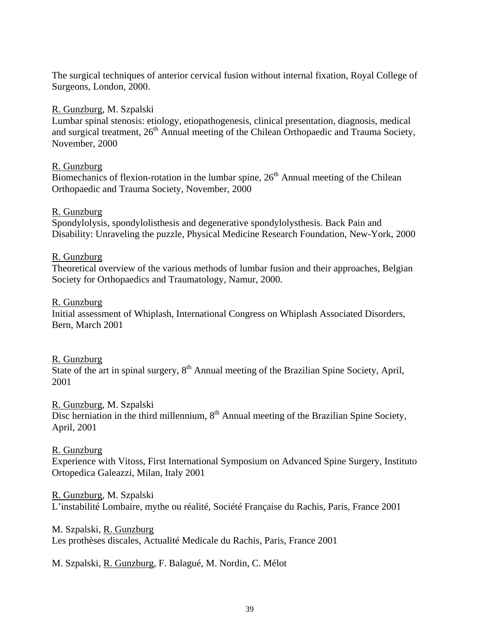The surgical techniques of anterior cervical fusion without internal fixation, Royal College of Surgeons, London, 2000.

### R. Gunzburg, M. Szpalski

Lumbar spinal stenosis: etiology, etiopathogenesis, clinical presentation, diagnosis, medical and surgical treatment,  $26<sup>th</sup>$  Annual meeting of the Chilean Orthopaedic and Trauma Society, November, 2000

## R. Gunzburg

Biomechanics of flexion-rotation in the lumbar spine,  $26<sup>th</sup>$  Annual meeting of the Chilean Orthopaedic and Trauma Society, November, 2000

### R. Gunzburg

Spondylolysis, spondylolisthesis and degenerative spondylolysthesis. Back Pain and Disability: Unraveling the puzzle, Physical Medicine Research Foundation, New-York, 2000

### R. Gunzburg

Theoretical overview of the various methods of lumbar fusion and their approaches, Belgian Society for Orthopaedics and Traumatology, Namur, 2000.

### R. Gunzburg

Initial assessment of Whiplash, International Congress on Whiplash Associated Disorders, Bern, March 2001

# R. Gunzburg

State of the art in spinal surgery,  $8<sup>th</sup>$  Annual meeting of the Brazilian Spine Society, April, 2001

# R. Gunzburg, M. Szpalski

Disc herniation in the third millennium,  $8<sup>th</sup>$  Annual meeting of the Brazilian Spine Society, April, 2001

# R. Gunzburg

Experience with Vitoss, First International Symposium on Advanced Spine Surgery, Instituto Ortopedica Galeazzi, Milan, Italy 2001

R. Gunzburg, M. Szpalski

L'instabilité Lombaire, mythe ou réalité, Société Française du Rachis, Paris, France 2001

# M. Szpalski, R. Gunzburg

Les prothèses discales, Actualité Medicale du Rachis, Paris, France 2001

M. Szpalski, R. Gunzburg, F. Balagué, M. Nordin, C. Mélot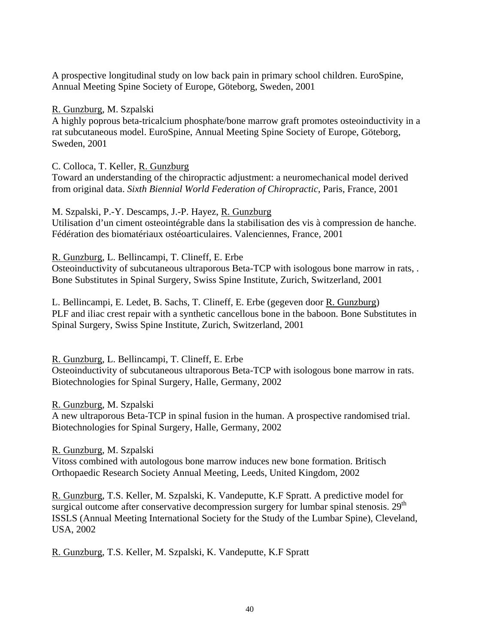A prospective longitudinal study on low back pain in primary school children. EuroSpine, Annual Meeting Spine Society of Europe, Göteborg, Sweden, 2001

R. Gunzburg, M. Szpalski

A highly poprous beta-tricalcium phosphate/bone marrow graft promotes osteoinductivity in a rat subcutaneous model. EuroSpine, Annual Meeting Spine Society of Europe, Göteborg, Sweden, 2001

C. Colloca, T. Keller, R. Gunzburg

Toward an understanding of the chiropractic adjustment: a neuromechanical model derived from original data. *Sixth Biennial World Federation of Chiropractic*, Paris, France, 2001

M. Szpalski, P.-Y. Descamps, J.-P. Hayez, R. Gunzburg Utilisation d'un ciment osteointégrable dans la stabilisation des vis à compression de hanche. Fédération des biomatériaux ostéoarticulaires. Valenciennes, France, 2001

R. Gunzburg, L. Bellincampi, T. Clineff, E. Erbe

Osteoinductivity of subcutaneous ultraporous Beta-TCP with isologous bone marrow in rats, . Bone Substitutes in Spinal Surgery, Swiss Spine Institute, Zurich, Switzerland, 2001

L. Bellincampi, E. Ledet, B. Sachs, T. Clineff, E. Erbe (gegeven door R. Gunzburg) PLF and iliac crest repair with a synthetic cancellous bone in the baboon. Bone Substitutes in Spinal Surgery, Swiss Spine Institute, Zurich, Switzerland, 2001

R. Gunzburg, L. Bellincampi, T. Clineff, E. Erbe

Osteoinductivity of subcutaneous ultraporous Beta-TCP with isologous bone marrow in rats. Biotechnologies for Spinal Surgery, Halle, Germany, 2002

R. Gunzburg, M. Szpalski

A new ultraporous Beta-TCP in spinal fusion in the human. A prospective randomised trial. Biotechnologies for Spinal Surgery, Halle, Germany, 2002

R. Gunzburg, M. Szpalski

Vitoss combined with autologous bone marrow induces new bone formation. Britisch Orthopaedic Research Society Annual Meeting, Leeds, United Kingdom, 2002

R. Gunzburg, T.S. Keller, M. Szpalski, K. Vandeputte, K.F Spratt. A predictive model for surgical outcome after conservative decompression surgery for lumbar spinal stenosis.  $29<sup>th</sup>$ ISSLS (Annual Meeting International Society for the Study of the Lumbar Spine), Cleveland, USA, 2002

R. Gunzburg, T.S. Keller, M. Szpalski, K. Vandeputte, K.F Spratt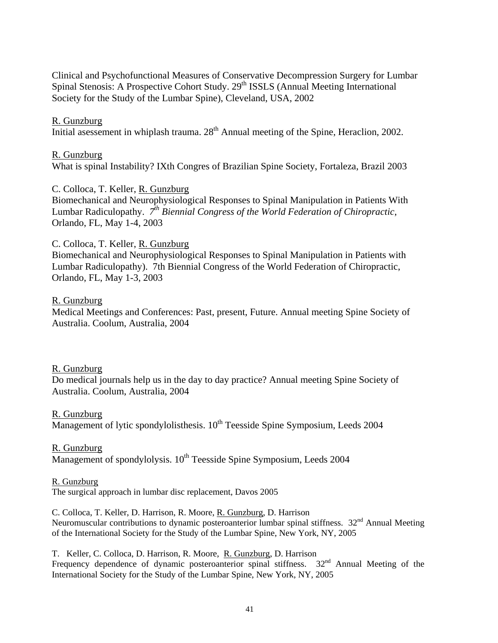Clinical and Psychofunctional Measures of Conservative Decompression Surgery for Lumbar Spinal Stenosis: A Prospective Cohort Study. 29<sup>th</sup> ISSLS (Annual Meeting International Society for the Study of the Lumbar Spine), Cleveland, USA, 2002

#### R. Gunzburg

Initial asessement in whiplash trauma.  $28<sup>th</sup>$  Annual meeting of the Spine, Heraclion, 2002.

#### R. Gunzburg

What is spinal Instability? IXth Congres of Brazilian Spine Society, Fortaleza, Brazil 2003

#### C. Colloca, T. Keller, R. Gunzburg

Biomechanical and Neurophysiological Responses to Spinal Manipulation in Patients With Lumbar Radiculopathy. *7th Biennial Congress of the World Federation of Chiropractic*, Orlando, FL, May 1-4, 2003

### C. Colloca, T. Keller, R. Gunzburg

Biomechanical and Neurophysiological Responses to Spinal Manipulation in Patients with Lumbar Radiculopathy). 7th Biennial Congress of the World Federation of Chiropractic, Orlando, FL, May 1-3, 2003

#### R. Gunzburg

Medical Meetings and Conferences: Past, present, Future. Annual meeting Spine Society of Australia. Coolum, Australia, 2004

#### R. Gunzburg

Do medical journals help us in the day to day practice? Annual meeting Spine Society of Australia. Coolum, Australia, 2004

#### R. Gunzburg

 $\overline{\text{Management}}$  of lytic spondylolisthesis.  $10^{\text{th}}$  Teesside Spine Symposium, Leeds 2004

#### R. Gunzburg

 $\overline{\text{Management}}$  of spondylolysis.  $10^{\text{th}}$  Teesside Spine Symposium, Leeds 2004

#### R. Gunzburg

The surgical approach in lumbar disc replacement, Davos 2005

C. Colloca, T. Keller, D. Harrison, R. Moore, R. Gunzburg, D. Harrison Neuromuscular contributions to dynamic posteroanterior lumbar spinal stiffness.  $32<sup>nd</sup>$  Annual Meeting of the International Society for the Study of the Lumbar Spine, New York, NY, 2005

T. Keller, C. Colloca, D. Harrison, R. Moore, R. Gunzburg, D. Harrison Frequency dependence of dynamic posteroanterior spinal stiffness.  $32<sup>nd</sup>$  Annual Meeting of the International Society for the Study of the Lumbar Spine, New York, NY, 2005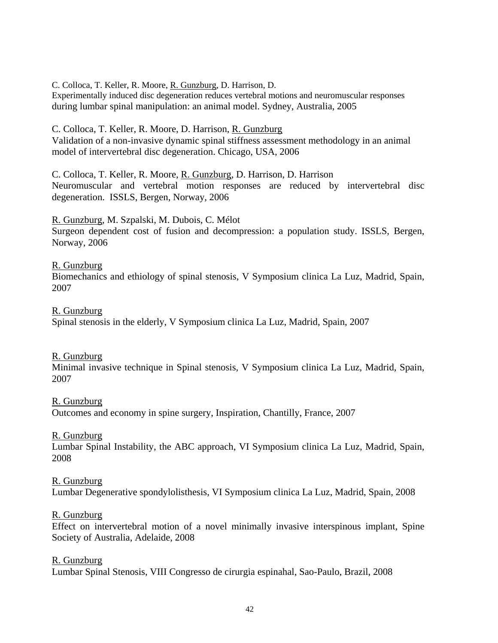C. Colloca, T. Keller, R. Moore, R. Gunzburg, D. Harrison, D.

Experimentally induced disc degeneration reduces vertebral motions and neuromuscular responses during lumbar spinal manipulation: an animal model. Sydney, Australia, 2005

C. Colloca, T. Keller, R. Moore, D. Harrison, R. Gunzburg Validation of a non-invasive dynamic spinal stiffness assessment methodology in an animal model of intervertebral disc degeneration. Chicago, USA, 2006

C. Colloca, T. Keller, R. Moore, R. Gunzburg, D. Harrison, D. Harrison Neuromuscular and vertebral motion responses are reduced by intervertebral disc degeneration. ISSLS, Bergen, Norway, 2006

R. Gunzburg, M. Szpalski, M. Dubois, C. Mélot

Surgeon dependent cost of fusion and decompression: a population study. ISSLS, Bergen, Norway, 2006

### R. Gunzburg

Biomechanics and ethiology of spinal stenosis, V Symposium clinica La Luz, Madrid, Spain, 2007

R. Gunzburg

Spinal stenosis in the elderly, V Symposium clinica La Luz, Madrid, Spain, 2007

R. Gunzburg

Minimal invasive technique in Spinal stenosis, V Symposium clinica La Luz, Madrid, Spain, 2007

# R. Gunzburg

Outcomes and economy in spine surgery, Inspiration, Chantilly, France, 2007

#### R. Gunzburg

Lumbar Spinal Instability, the ABC approach, VI Symposium clinica La Luz, Madrid, Spain, 2008

# R. Gunzburg

Lumbar Degenerative spondylolisthesis, VI Symposium clinica La Luz, Madrid, Spain, 2008

#### R. Gunzburg

Effect on intervertebral motion of a novel minimally invasive interspinous implant, Spine Society of Australia, Adelaide, 2008

#### R. Gunzburg

Lumbar Spinal Stenosis, VIII Congresso de cirurgia espinahal, Sao-Paulo, Brazil, 2008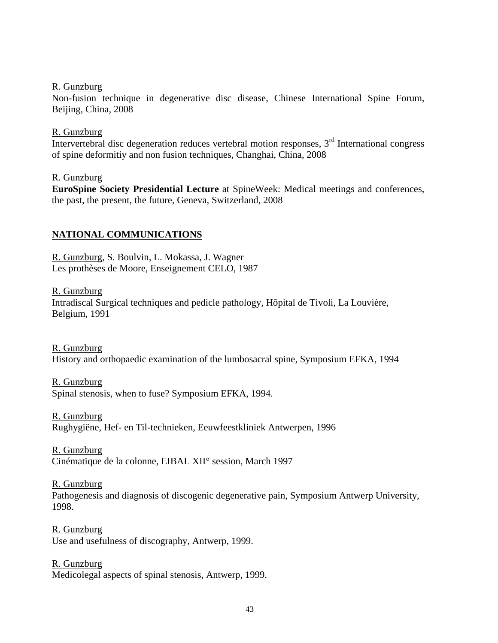#### R. Gunzburg

Non-fusion technique in degenerative disc disease, Chinese International Spine Forum, Beijing, China, 2008

#### R. Gunzburg

Intervertebral disc degeneration reduces vertebral motion responses,  $3<sup>rd</sup>$  International congress of spine deformitiy and non fusion techniques, Changhai, China, 2008

#### R. Gunzburg

**EuroSpine Society Presidential Lecture** at SpineWeek: Medical meetings and conferences, the past, the present, the future, Geneva, Switzerland, 2008

# **NATIONAL COMMUNICATIONS**

R. Gunzburg, S. Boulvin, L. Mokassa, J. Wagner Les prothèses de Moore, Enseignement CELO, 1987

R. Gunzburg Intradiscal Surgical techniques and pedicle pathology, Hôpital de Tivoli, La Louvière, Belgium, 1991

R. Gunzburg History and orthopaedic examination of the lumbosacral spine, Symposium EFKA, 1994

R. Gunzburg Spinal stenosis, when to fuse? Symposium EFKA, 1994.

R. Gunzburg Rughygiëne, Hef- en Til-technieken, Eeuwfeestkliniek Antwerpen, 1996

R. Gunzburg Cinématique de la colonne, EIBAL XII° session, March 1997

R. Gunzburg Pathogenesis and diagnosis of discogenic degenerative pain, Symposium Antwerp University, 1998.

R. Gunzburg Use and usefulness of discography, Antwerp, 1999.

R. Gunzburg

Medicolegal aspects of spinal stenosis, Antwerp, 1999.